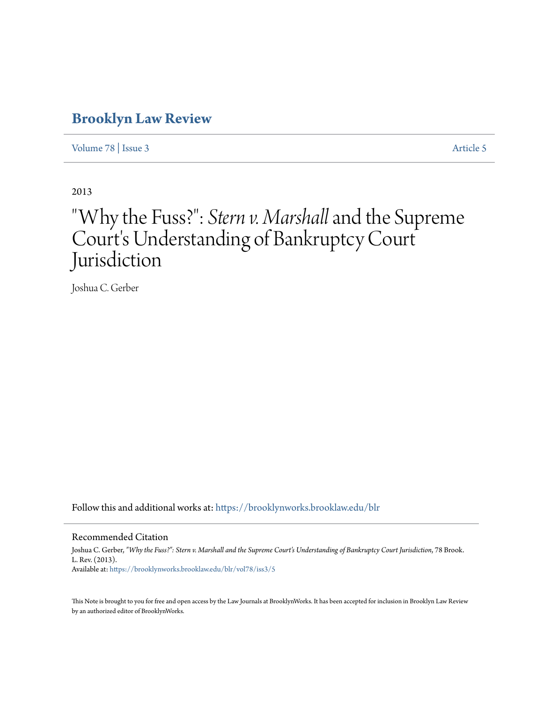## **[Brooklyn Law Review](https://brooklynworks.brooklaw.edu/blr?utm_source=brooklynworks.brooklaw.edu%2Fblr%2Fvol78%2Fiss3%2F5&utm_medium=PDF&utm_campaign=PDFCoverPages)**

[Volume 78](https://brooklynworks.brooklaw.edu/blr/vol78?utm_source=brooklynworks.brooklaw.edu%2Fblr%2Fvol78%2Fiss3%2F5&utm_medium=PDF&utm_campaign=PDFCoverPages) | [Issue 3](https://brooklynworks.brooklaw.edu/blr/vol78/iss3?utm_source=brooklynworks.brooklaw.edu%2Fblr%2Fvol78%2Fiss3%2F5&utm_medium=PDF&utm_campaign=PDFCoverPages) [Article 5](https://brooklynworks.brooklaw.edu/blr/vol78/iss3/5?utm_source=brooklynworks.brooklaw.edu%2Fblr%2Fvol78%2Fiss3%2F5&utm_medium=PDF&utm_campaign=PDFCoverPages)

2013

# "Why the Fuss?": *Stern v. Marshall*and the Supreme Court's Understanding of Bankruptcy Court Jurisdiction

Joshua C. Gerber

Follow this and additional works at: [https://brooklynworks.brooklaw.edu/blr](https://brooklynworks.brooklaw.edu/blr?utm_source=brooklynworks.brooklaw.edu%2Fblr%2Fvol78%2Fiss3%2F5&utm_medium=PDF&utm_campaign=PDFCoverPages)

### Recommended Citation

Joshua C. Gerber, *"Why the Fuss?": Stern v. Marshall and the Supreme Court's Understanding of Bankruptcy Court Jurisdiction*, 78 Brook. L. Rev. (2013). Available at: [https://brooklynworks.brooklaw.edu/blr/vol78/iss3/5](https://brooklynworks.brooklaw.edu/blr/vol78/iss3/5?utm_source=brooklynworks.brooklaw.edu%2Fblr%2Fvol78%2Fiss3%2F5&utm_medium=PDF&utm_campaign=PDFCoverPages)

This Note is brought to you for free and open access by the Law Journals at BrooklynWorks. It has been accepted for inclusion in Brooklyn Law Review by an authorized editor of BrooklynWorks.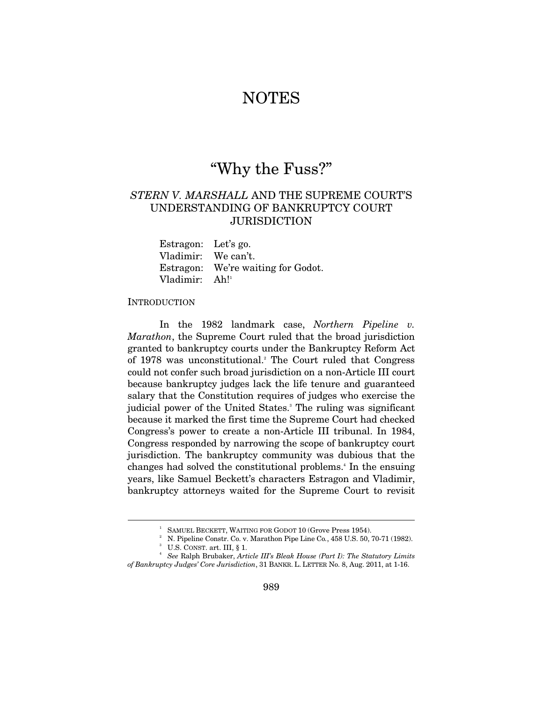## NOTES

## "Why the Fuss?"

## *STERN V. MARSHALL* AND THE SUPREME COURT'S UNDERSTANDING OF BANKRUPTCY COURT **JURISDICTION**

Estragon: Let's go. Vladimir: We can't. Estragon: We're waiting for Godot. Vladimir: Ah!<sup>1</sup>

#### **INTRODUCTION**

 $\overline{a}$ 

In the 1982 landmark case, *Northern Pipeline v. Marathon*, the Supreme Court ruled that the broad jurisdiction granted to bankruptcy courts under the Bankruptcy Reform Act of 1978 was unconstitutional.<sup>2</sup> The Court ruled that Congress could not confer such broad jurisdiction on a non-Article III court because bankruptcy judges lack the life tenure and guaranteed salary that the Constitution requires of judges who exercise the judicial power of the United States.<sup>3</sup> The ruling was significant because it marked the first time the Supreme Court had checked Congress's power to create a non-Article III tribunal. In 1984, Congress responded by narrowing the scope of bankruptcy court jurisdiction. The bankruptcy community was dubious that the changes had solved the constitutional problems.<sup>4</sup> In the ensuing years, like Samuel Beckett's characters Estragon and Vladimir, bankruptcy attorneys waited for the Supreme Court to revisit

<sup>&</sup>lt;sup>1</sup> SAMUEL BECKETT, WAITING FOR GODOT 10 (Grove Press 1954).

N. Pipeline Constr. Co. v. Marathon Pipe Line Co*.*, 458 U.S. 50, 70-71 (1982). 3  $^3$  U.S. CONST. art. III,  $\S$  1.

*See* Ralph Brubaker, *Article III's Bleak House (Part I): The Statutory Limits of Bankruptcy Judges' Core Jurisdiction*, 31 BANKR. L. LETTER No. 8, Aug. 2011, at 1-16.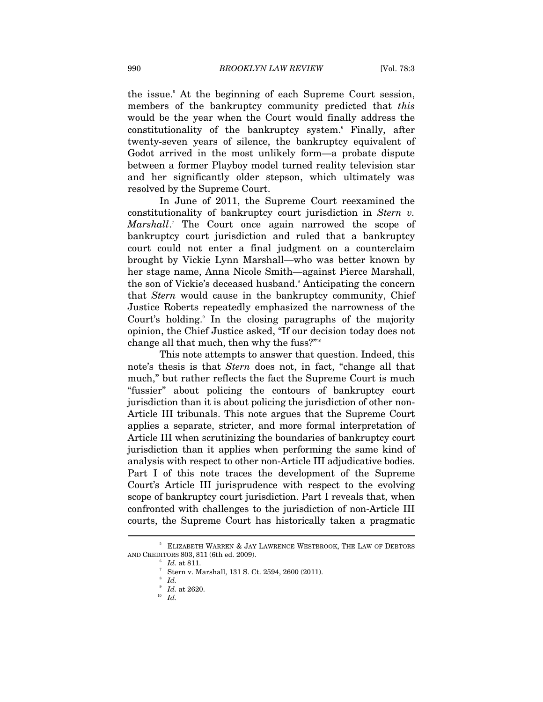the issue.5 At the beginning of each Supreme Court session, members of the bankruptcy community predicted that *this* would be the year when the Court would finally address the constitutionality of the bankruptcy system.6 Finally, after twenty-seven years of silence, the bankruptcy equivalent of Godot arrived in the most unlikely form—a probate dispute between a former Playboy model turned reality television star and her significantly older stepson, which ultimately was resolved by the Supreme Court.

In June of 2011, the Supreme Court reexamined the constitutionality of bankruptcy court jurisdiction in *Stern v.*  Marshall.<sup>7</sup> The Court once again narrowed the scope of bankruptcy court jurisdiction and ruled that a bankruptcy court could not enter a final judgment on a counterclaim brought by Vickie Lynn Marshall—who was better known by her stage name, Anna Nicole Smith—against Pierce Marshall, the son of Vickie's deceased husband.<sup>8</sup> Anticipating the concern that *Stern* would cause in the bankruptcy community, Chief Justice Roberts repeatedly emphasized the narrowness of the Court's holding.<sup>9</sup> In the closing paragraphs of the majority opinion, the Chief Justice asked, "If our decision today does not change all that much, then why the fuss?"10

This note attempts to answer that question. Indeed, this note's thesis is that *Stern* does not, in fact, "change all that much," but rather reflects the fact the Supreme Court is much "fussier" about policing the contours of bankruptcy court jurisdiction than it is about policing the jurisdiction of other non-Article III tribunals. This note argues that the Supreme Court applies a separate, stricter, and more formal interpretation of Article III when scrutinizing the boundaries of bankruptcy court jurisdiction than it applies when performing the same kind of analysis with respect to other non-Article III adjudicative bodies. Part I of this note traces the development of the Supreme Court's Article III jurisprudence with respect to the evolving scope of bankruptcy court jurisdiction. Part I reveals that, when confronted with challenges to the jurisdiction of non-Article III courts, the Supreme Court has historically taken a pragmatic

<sup>5</sup> ELIZABETH WARREN & JAY LAWRENCE WESTBROOK, THE LAW OF DEBTORS AND CREDITORS 803, <sup>811</sup> (6th ed. 2009). 6

 $\,6$  Id. at 811.

Stern v. Marshall, 131 S. Ct. 2594, 2600 (2011).

<sup>8</sup>  $\int_{9}^{8}$  *Id.* 

*Id.* at 2620. 10 *Id.*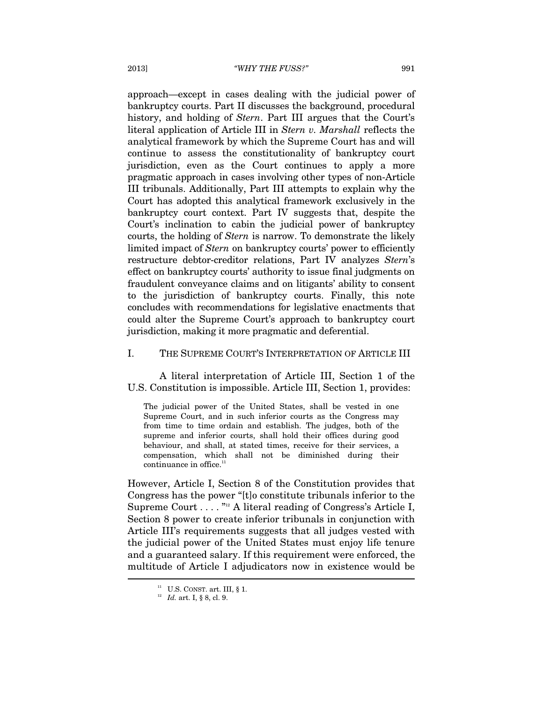approach—except in cases dealing with the judicial power of bankruptcy courts. Part II discusses the background, procedural history, and holding of *Stern*. Part III argues that the Court's literal application of Article III in *Stern v. Marshall* reflects the analytical framework by which the Supreme Court has and will continue to assess the constitutionality of bankruptcy court jurisdiction, even as the Court continues to apply a more pragmatic approach in cases involving other types of non-Article III tribunals. Additionally, Part III attempts to explain why the Court has adopted this analytical framework exclusively in the bankruptcy court context. Part IV suggests that, despite the Court's inclination to cabin the judicial power of bankruptcy courts, the holding of *Stern* is narrow. To demonstrate the likely limited impact of *Stern* on bankruptcy courts' power to efficiently restructure debtor-creditor relations, Part IV analyzes *Stern*'s effect on bankruptcy courts' authority to issue final judgments on fraudulent conveyance claims and on litigants' ability to consent to the jurisdiction of bankruptcy courts. Finally, this note concludes with recommendations for legislative enactments that could alter the Supreme Court's approach to bankruptcy court jurisdiction, making it more pragmatic and deferential.

#### I. THE SUPREME COURT'S INTERPRETATION OF ARTICLE III

A literal interpretation of Article III, Section 1 of the U.S. Constitution is impossible. Article III, Section 1, provides:

The judicial power of the United States, shall be vested in one Supreme Court, and in such inferior courts as the Congress may from time to time ordain and establish. The judges, both of the supreme and inferior courts, shall hold their offices during good behaviour, and shall, at stated times, receive for their services, a compensation, which shall not be diminished during their continuance in office.<sup>1</sup>

However, Article I, Section 8 of the Constitution provides that Congress has the power "[t]o constitute tribunals inferior to the Supreme Court  $\dots$  .  $n_2$  A literal reading of Congress's Article I, Section 8 power to create inferior tribunals in conjunction with Article III's requirements suggests that all judges vested with the judicial power of the United States must enjoy life tenure and a guaranteed salary. If this requirement were enforced, the multitude of Article I adjudicators now in existence would be  $\overline{a}$ 

<sup>&</sup>lt;sup>11</sup> U.S. CONST. art. III, § 1.<br><sup>12</sup> *Id.* art. I, § 8, cl. 9.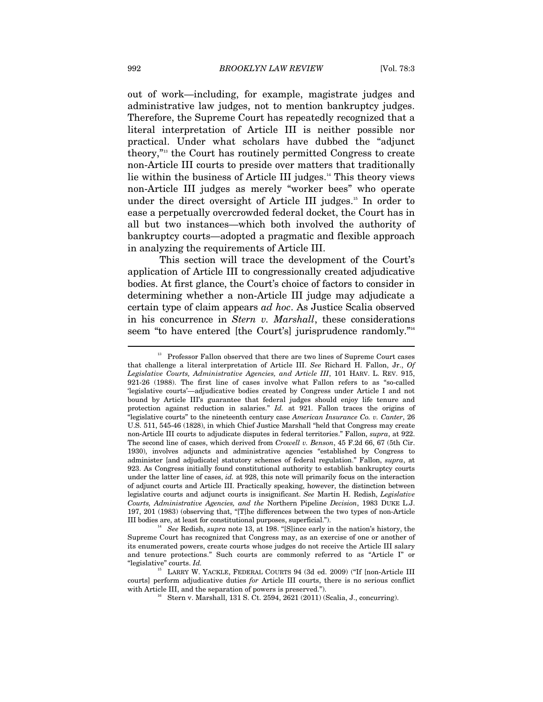out of work—including, for example, magistrate judges and administrative law judges, not to mention bankruptcy judges. Therefore, the Supreme Court has repeatedly recognized that a literal interpretation of Article III is neither possible nor practical. Under what scholars have dubbed the "adjunct theory,"13 the Court has routinely permitted Congress to create non-Article III courts to preside over matters that traditionally lie within the business of Article III judges.14 This theory views non-Article III judges as merely "worker bees" who operate under the direct oversight of Article III judges.<sup>15</sup> In order to ease a perpetually overcrowded federal docket, the Court has in all but two instances—which both involved the authority of bankruptcy courts—adopted a pragmatic and flexible approach in analyzing the requirements of Article III.

This section will trace the development of the Court's application of Article III to congressionally created adjudicative bodies. At first glance, the Court's choice of factors to consider in determining whether a non-Article III judge may adjudicate a certain type of claim appears *ad hoc*. As Justice Scalia observed in his concurrence in *Stern v. Marshall*, these considerations seem "to have entered [the Court's] jurisprudence randomly."<sup>16</sup>

<sup>&</sup>lt;sup>13</sup> Professor Fallon observed that there are two lines of Supreme Court cases that challenge a literal interpretation of Article III. *See* Richard H. Fallon, Jr., *Of Legislative Courts, Administrative Agencies, and Article III*, 101 HARV. L. REV. 915, 921-26 (1988). The first line of cases involve what Fallon refers to as "so-called 'legislative courts'—adjudicative bodies created by Congress under Article I and not bound by Article III's guarantee that federal judges should enjoy life tenure and protection against reduction in salaries." *Id.* at 921. Fallon traces the origins of "legislative courts" to the nineteenth century case *American Insurance Co. v. Canter*, 26 U.S. 511, 545-46 (1828), in which Chief Justice Marshall "held that Congress may create non-Article III courts to adjudicate disputes in federal territories." Fallon, *supra*, at 922. The second line of cases, which derived from *Crowell v. Benson*, 45 F.2d 66, 67 (5th Cir. 1930), involves adjuncts and administrative agencies "established by Congress to administer [and adjudicate] statutory schemes of federal regulation." Fallon, *supra*, at 923. As Congress initially found constitutional authority to establish bankruptcy courts under the latter line of cases, *id.* at 928, this note will primarily focus on the interaction of adjunct courts and Article III. Practically speaking, however, the distinction between legislative courts and adjunct courts is insignificant. *See* Martin H. Redish, *Legislative Courts, Administrative Agencies, and the* Northern Pipeline *Decision*, 1983 DUKE L.J. 197, 201 (1983) (observing that, "[T]he differences between the two types of non-Article III bodies are, at least for constitutional purposes, superficial."). 14 *See* Redish, *supra* note 13, at 198. "[S]ince early in the nation's history, the

Supreme Court has recognized that Congress may, as an exercise of one or another of its enumerated powers, create courts whose judges do not receive the Article III salary and tenure protections." Such courts are commonly referred to as "Article I" or "legislative" courts. *Id.* 15 LARRY W. YACKLE, FEDERAL COURTS 94 (3d ed. 2009) ("If [non-Article III

courts] perform adjudicative duties *for* Article III courts, there is no serious conflict with Article III, and the separation of powers is preserved.").<br><sup>16</sup> Stern v. Marshall, 131 S. Ct. 2594, 2621 (2011) (Scalia, J., concurring).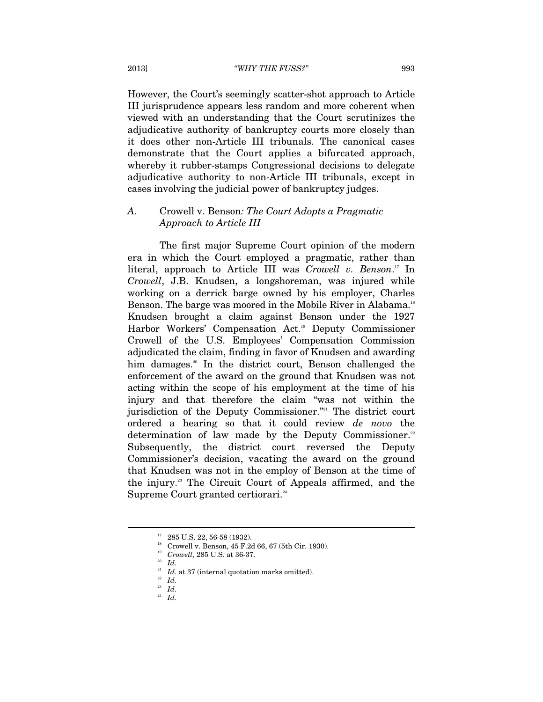However, the Court's seemingly scatter-shot approach to Article III jurisprudence appears less random and more coherent when viewed with an understanding that the Court scrutinizes the adjudicative authority of bankruptcy courts more closely than it does other non-Article III tribunals. The canonical cases demonstrate that the Court applies a bifurcated approach, whereby it rubber-stamps Congressional decisions to delegate adjudicative authority to non-Article III tribunals, except in cases involving the judicial power of bankruptcy judges.

## *A.* Crowell v. Benson*: The Court Adopts a Pragmatic Approach to Article III*

The first major Supreme Court opinion of the modern era in which the Court employed a pragmatic, rather than literal, approach to Article III was *Crowell v. Benson*. 17 In *Crowell*, J.B. Knudsen, a longshoreman, was injured while working on a derrick barge owned by his employer, Charles Benson. The barge was moored in the Mobile River in Alabama.<sup>18</sup> Knudsen brought a claim against Benson under the 1927 Harbor Workers' Compensation Act.<sup>19</sup> Deputy Commissioner Crowell of the U.S. Employees' Compensation Commission adjudicated the claim, finding in favor of Knudsen and awarding him damages.<sup>20</sup> In the district court, Benson challenged the enforcement of the award on the ground that Knudsen was not acting within the scope of his employment at the time of his injury and that therefore the claim "was not within the jurisdiction of the Deputy Commissioner."<sup>21</sup> The district court ordered a hearing so that it could review *de novo* the determination of law made by the Deputy Commissioner.<sup>22</sup> Subsequently, the district court reversed the Deputy Commissioner's decision, vacating the award on the ground that Knudsen was not in the employ of Benson at the time of the injury.23 The Circuit Court of Appeals affirmed, and the Supreme Court granted certiorari.<sup>24</sup>

<sup>&</sup>lt;sup>17</sup> 285 U.S. 22, 56-58 (1932).

 $^{18}$  Crowell v. Benson, 45 F.2d 66, 67 (5th Cir. 1930).<br> $^{19}$  Crowell, 285 U.S. at 36-37.

<sup>&</sup>lt;sup>20</sup> *Id.* at 37 (internal quotation marks omitted).<br><sup>22</sup> *Id.* 23<br><sup>23</sup> *Id.* 24 *Id.*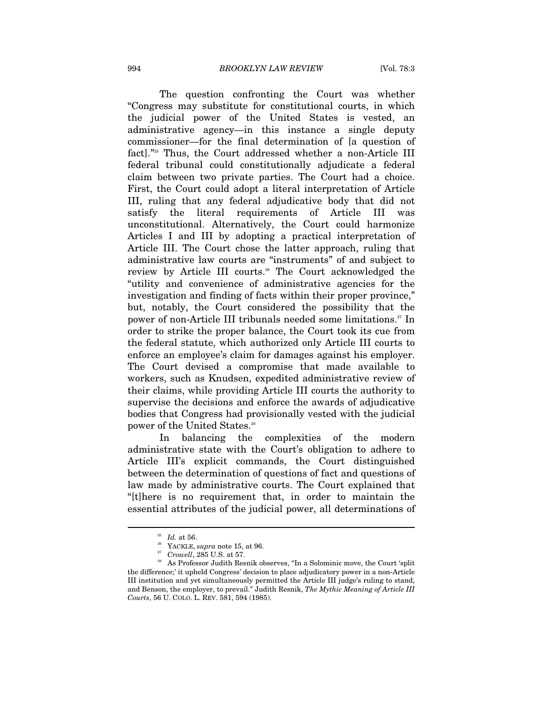The question confronting the Court was whether "Congress may substitute for constitutional courts, in which the judicial power of the United States is vested, an administrative agency—in this instance a single deputy commissioner—for the final determination of [a question of fact]."25 Thus, the Court addressed whether a non-Article III federal tribunal could constitutionally adjudicate a federal claim between two private parties. The Court had a choice. First, the Court could adopt a literal interpretation of Article III, ruling that any federal adjudicative body that did not satisfy the literal requirements of Article III was unconstitutional. Alternatively, the Court could harmonize Articles I and III by adopting a practical interpretation of Article III. The Court chose the latter approach, ruling that administrative law courts are "instruments" of and subject to review by Article III courts.<sup>26</sup> The Court acknowledged the "utility and convenience of administrative agencies for the investigation and finding of facts within their proper province," but, notably, the Court considered the possibility that the power of non-Article III tribunals needed some limitations.<sup>27</sup> In order to strike the proper balance, the Court took its cue from the federal statute, which authorized only Article III courts to enforce an employee's claim for damages against his employer. The Court devised a compromise that made available to workers, such as Knudsen, expedited administrative review of their claims, while providing Article III courts the authority to supervise the decisions and enforce the awards of adjudicative bodies that Congress had provisionally vested with the judicial power of the United States.<sup>28</sup>

In balancing the complexities of the modern administrative state with the Court's obligation to adhere to Article III's explicit commands, the Court distinguished between the determination of questions of fact and questions of law made by administrative courts. The Court explained that "[t]here is no requirement that, in order to maintain the essential attributes of the judicial power, all determinations of

<sup>&</sup>lt;sup>25</sup> *Id.* at 56.<br><sup>26</sup> YACKLE, *supra* note 15, at 96.<br><sup>27</sup> *Crowell*, 285 U.S. at 57.

As Professor Judith Resnik observes, "In a Solominic move, the Court 'split the difference;' it upheld Congress' decision to place adjudicatory power in a non-Article III institution and yet simultaneously permitted the Article III judge's ruling to stand, and Benson, the employer, to prevail." Judith Resnik, *The Mythic Meaning of Article III Courts*, 56 U. COLO. L. REV. 581, 594 (1985).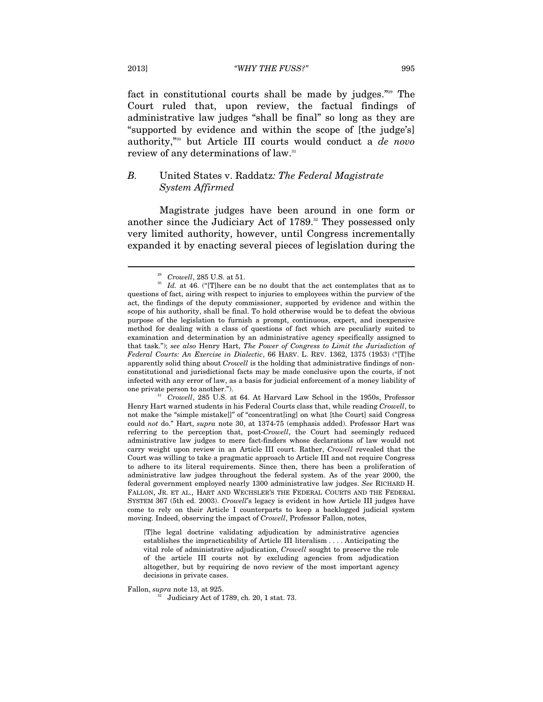fact in constitutional courts shall be made by judges."29 The Court ruled that, upon review, the factual findings of administrative law judges "shall be final" so long as they are "supported by evidence and within the scope of [the judge's] authority,"30 but Article III courts would conduct a *de novo* review of any determinations of law.<sup>31</sup>

## *B.* United States v. Raddatz*: The Federal Magistrate System Affirmed*

Magistrate judges have been around in one form or another since the Judiciary Act of 1789.<sup>32</sup> They possessed only very limited authority, however, until Congress incrementally expanded it by enacting several pieces of legislation during the

Henry Hart warned students in his Federal Courts class that, while reading *Crowell*, to not make the "simple mistake[]" of "concentrat[ing] on what [the Court] said Congress could *not* do." Hart, *supra* note 30, at 1374-75 (emphasis added). Professor Hart was referring to the perception that, post-*Crowell*, the Court had seemingly reduced administrative law judges to mere fact-finders whose declarations of law would not carry weight upon review in an Article III court. Rather, *Crowell* revealed that the Court was willing to take a pragmatic approach to Article III and not require Congress to adhere to its literal requirements. Since then, there has been a proliferation of administrative law judges throughout the federal system. As of the year 2000, the federal government employed nearly 1300 administrative law judges. *See* RICHARD H. FALLON, JR. ET AL., HART AND WECHSLER'S THE FEDERAL COURTS AND THE FEDERAL SYSTEM 367 (5th ed. 2003). *Crowell*'s legacy is evident in how Article III judges have come to rely on their Article I counterparts to keep a backlogged judicial system moving. Indeed, observing the impact of *Crowell*, Professor Fallon, notes,

[T]he legal doctrine validating adjudication by administrative agencies establishes the impracticability of Article III literalism . . . . Anticipating the vital role of administrative adjudication, *Crowell* sought to preserve the role of the article III courts not by excluding agencies from adjudication altogether, but by requiring de novo review of the most important agency decisions in private cases.

Fallon, *supra* note 13, at 925.<br><sup>32</sup> Judiciary Act of 1789, ch. 20, 1 stat. 73.

<sup>&</sup>lt;sup>29</sup> Crowell, 285 U.S. at 51.  $Id.$  at 46. ("[T]here can be no doubt that the act contemplates that as to questions of fact, airing with respect to injuries to employees within the purview of the act, the findings of the deputy commissioner, supported by evidence and within the scope of his authority, shall be final. To hold otherwise would be to defeat the obvious purpose of the legislation to furnish a prompt, continuous, expert, and inexpensive method for dealing with a class of questions of fact which are peculiarly suited to examination and determination by an administrative agency specifically assigned to that task."); *see also* Henry Hart, *The Power of Congress to Limit the Jurisdiction of Federal Courts: An Exercise in Dialectic*, 66 HARV. L. REV. 1362, 1375 (1953) ("[T]he apparently solid thing about *Crowell* is the holding that administrative findings of nonconstitutional and jurisdictional facts may be made conclusive upon the courts, if not infected with any error of law, as a basis for judicial enforcement of a money liability of one private person to another."). 31 *Crowell*, 285 U.S. at 64. At Harvard Law School in the 1950s, Professor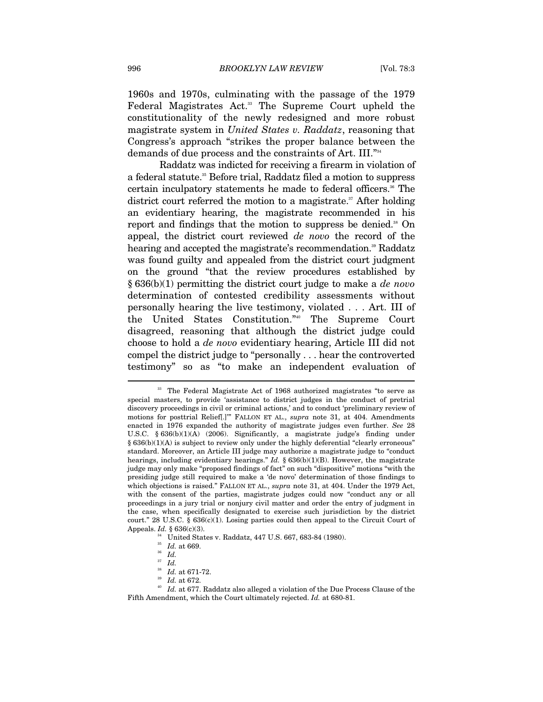1960s and 1970s, culminating with the passage of the 1979 Federal Magistrates Act.<sup>33</sup> The Supreme Court upheld the constitutionality of the newly redesigned and more robust magistrate system in *United States v. Raddatz*, reasoning that Congress's approach "strikes the proper balance between the demands of due process and the constraints of Art. III."34

Raddatz was indicted for receiving a firearm in violation of a federal statute.<sup>35</sup> Before trial, Raddatz filed a motion to suppress certain inculpatory statements he made to federal officers.<sup>36</sup> The district court referred the motion to a magistrate.<sup>37</sup> After holding an evidentiary hearing, the magistrate recommended in his report and findings that the motion to suppress be denied.<sup>38</sup> On appeal, the district court reviewed *de novo* the record of the hearing and accepted the magistrate's recommendation.<sup>39</sup> Raddatz was found guilty and appealed from the district court judgment on the ground "that the review procedures established by § 636(b)(1) permitting the district court judge to make a *de novo* determination of contested credibility assessments without personally hearing the live testimony, violated . . . Art. III of the United States Constitution."40 The Supreme Court disagreed, reasoning that although the district judge could choose to hold a *de novo* evidentiary hearing, Article III did not compel the district judge to "personally . . . hear the controverted testimony" so as "to make an independent evaluation of

<sup>&</sup>lt;sup>33</sup> The Federal Magistrate Act of 1968 authorized magistrates "to serve as special masters, to provide 'assistance to district judges in the conduct of pretrial discovery proceedings in civil or criminal actions,' and to conduct 'preliminary review of motions for posttrial Relief[.]'" FALLON ET AL., *supra* note 31, at 404. Amendments enacted in 1976 expanded the authority of magistrate judges even further. *See* 28 U.S.C. § 636(b)(1)(A) (2006). Significantly, a magistrate judge's finding under § 636(b)(1)(A) is subject to review only under the highly deferential "clearly erroneous" standard. Moreover, an Article III judge may authorize a magistrate judge to "conduct hearings, including evidentiary hearings." *Id.* § 636(b)(1)(B). However, the magistrate judge may only make "proposed findings of fact" on such "dispositive" motions "with the presiding judge still required to make a 'de novo' determination of those findings to which objections is raised." FALLON ET AL., *supra* note 31, at 404. Under the 1979 Act, with the consent of the parties, magistrate judges could now "conduct any or all proceedings in a jury trial or nonjury civil matter and order the entry of judgment in the case, when specifically designated to exercise such jurisdiction by the district court." 28 U.S.C.  $\S 636(c)(1)$ . Losing parties could then appeal to the Circuit Court of Appeals. *Id.* § 636(c)(3). 34 United States v. Raddatz, 447 U.S. 667, 683-84 (1980).

<sup>35</sup> *Id.* at 669. 36 *Id.*

 $\frac{37}{38}$  *Id.* at 671-72.

<sup>&</sup>lt;sup>39</sup> Id. at 672.<br><sup>40</sup> Id. at 677. Raddatz also alleged a violation of the Due Process Clause of the Fifth Amendment, which the Court ultimately rejected. *Id.* at 680-81.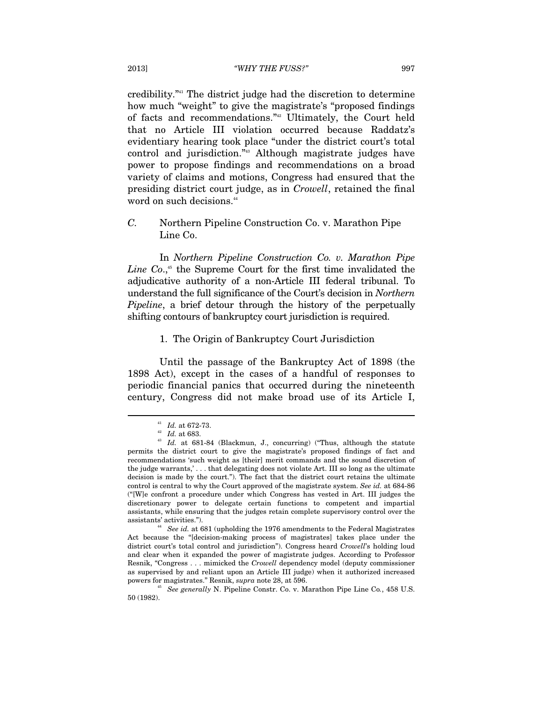credibility."41 The district judge had the discretion to determine how much "weight" to give the magistrate's "proposed findings of facts and recommendations."42 Ultimately, the Court held that no Article III violation occurred because Raddatz's evidentiary hearing took place "under the district court's total control and jurisdiction."43 Although magistrate judges have power to propose findings and recommendations on a broad variety of claims and motions, Congress had ensured that the presiding district court judge, as in *Crowell*, retained the final word on such decisions.<sup>44</sup>

*C.* Northern Pipeline Construction Co. v. Marathon Pipe Line Co.

In *Northern Pipeline Construction Co. v. Marathon Pipe*  Line Co.,<sup>45</sup> the Supreme Court for the first time invalidated the adjudicative authority of a non-Article III federal tribunal. To understand the full significance of the Court's decision in *Northern Pipeline*, a brief detour through the history of the perpetually shifting contours of bankruptcy court jurisdiction is required.

#### 1. The Origin of Bankruptcy Court Jurisdiction

Until the passage of the Bankruptcy Act of 1898 (the 1898 Act), except in the cases of a handful of responses to periodic financial panics that occurred during the nineteenth century, Congress did not make broad use of its Article I,

<sup>&</sup>lt;sup>41</sup> Id. at 672-73.<br><sup>42</sup> Id. at 683.<br><sup>43</sup> Id. at 681-84 (Blackmun, J., concurring) ("Thus, although the statute permits the district court to give the magistrate's proposed findings of fact and recommendations 'such weight as [their] merit commands and the sound discretion of the judge warrants,' . . . that delegating does not violate Art. III so long as the ultimate decision is made by the court."). The fact that the district court retains the ultimate control is central to why the Court approved of the magistrate system. *See id.* at 684-86 ("[W]e confront a procedure under which Congress has vested in Art. III judges the discretionary power to delegate certain functions to competent and impartial assistants, while ensuring that the judges retain complete supervisory control over the

assistants' activities."). 44 *See id.* at 681 (upholding the 1976 amendments to the Federal Magistrates Act because the "[decision-making process of magistrates] takes place under the district court's total control and jurisdiction"). Congress heard *Crowell*'s holding loud and clear when it expanded the power of magistrate judges. According to Professor Resnik, "Congress . . . mimicked the *Crowell* dependency model (deputy commissioner as supervised by and reliant upon an Article III judge) when it authorized increased powers for magistrates." Resnik, *supra* note 28, at 596.<br><sup>45</sup> See generally N. Pipeline Constr. Co. v. Marathon Pipe Line Co., 458 U.S.

<sup>50 (1982).</sup>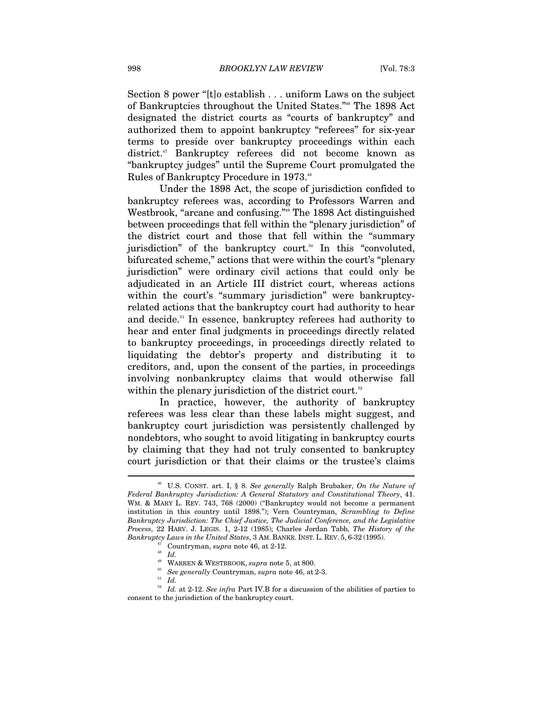Section 8 power "[t]o establish . . . uniform Laws on the subject of Bankruptcies throughout the United States."46 The 1898 Act designated the district courts as "courts of bankruptcy" and authorized them to appoint bankruptcy "referees" for six-year terms to preside over bankruptcy proceedings within each district.<sup>47</sup> Bankruptcy referees did not become known as "bankruptcy judges" until the Supreme Court promulgated the Rules of Bankruptcy Procedure in 1973.48

Under the 1898 Act, the scope of jurisdiction confided to bankruptcy referees was, according to Professors Warren and Westbrook, "arcane and confusing."49 The 1898 Act distinguished between proceedings that fell within the "plenary jurisdiction" of the district court and those that fell within the "summary jurisdiction" of the bankruptcy court.<sup>50</sup> In this "convoluted, bifurcated scheme," actions that were within the court's "plenary jurisdiction" were ordinary civil actions that could only be adjudicated in an Article III district court, whereas actions within the court's "summary jurisdiction" were bankruptcyrelated actions that the bankruptcy court had authority to hear and decide.<sup>51</sup> In essence, bankruptcy referees had authority to hear and enter final judgments in proceedings directly related to bankruptcy proceedings, in proceedings directly related to liquidating the debtor's property and distributing it to creditors, and, upon the consent of the parties, in proceedings involving nonbankruptcy claims that would otherwise fall within the plenary jurisdiction of the district court.<sup>52</sup>

In practice, however, the authority of bankruptcy referees was less clear than these labels might suggest, and bankruptcy court jurisdiction was persistently challenged by nondebtors, who sought to avoid litigating in bankruptcy courts by claiming that they had not truly consented to bankruptcy court jurisdiction or that their claims or the trustee's claims  $\overline{a}$ 

<sup>46</sup> U.S. CONST. art. I, § 8. *See generally* Ralph Brubaker, *On the Nature of Federal Bankruptcy Jurisdiction: A General Statutory and Constitutional Theory*, 41. WM. & MARY L. REV. 743, 768 (2000) ("Bankruptcy would not become a permanent institution in this country until 1898."); Vern Countryman, *Scrambling to Define Bankruptcy Jurisdiction: The Chief Justice, The Judicial Conference, and the Legislative Process*, 22 HARV. J. LEGIS. 1, 2-12 (1985); Charles Jordan Tabb, *The History of the Bankruptcy Laws in the United States*, 3 AM. BANKR. INST. L. REV. 5, 6-32 (1995).<br>
<sup>47</sup> Countryman, *supra* note 46, at 2-12.<br>
<sup>48</sup> *Id.* WARREN & WESTBROOK, *supra* note 5, at 800.

 $^{50}_{51}$  See generally Countryman,  ${supra}$  note 46, at 2-3.  $^{51}_{\hbox{\scriptsize{Id}}}$ 

 $52\,$  *Id.* at 2-12. *See infra* Part IV.B for a discussion of the abilities of parties to consent to the jurisdiction of the bankruptcy court.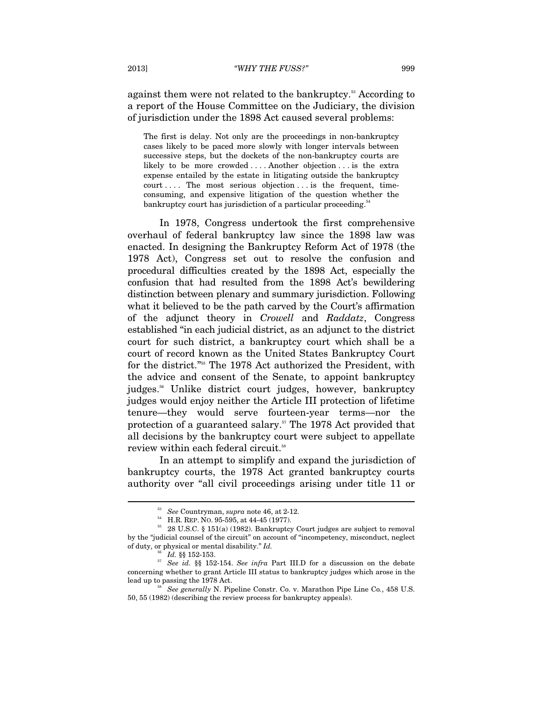against them were not related to the bankruptcy.<sup>53</sup> According to a report of the House Committee on the Judiciary, the division of jurisdiction under the 1898 Act caused several problems:

The first is delay. Not only are the proceedings in non-bankruptcy cases likely to be paced more slowly with longer intervals between successive steps, but the dockets of the non-bankruptcy courts are likely to be more crowded . . . . Another objection . . . is the extra expense entailed by the estate in litigating outside the bankruptcy court .... The most serious objection ... is the frequent, timeconsuming, and expensive litigation of the question whether the bankruptcy court has jurisdiction of a particular proceeding.<sup>54</sup>

In 1978, Congress undertook the first comprehensive overhaul of federal bankruptcy law since the 1898 law was enacted. In designing the Bankruptcy Reform Act of 1978 (the 1978 Act), Congress set out to resolve the confusion and procedural difficulties created by the 1898 Act, especially the confusion that had resulted from the 1898 Act's bewildering distinction between plenary and summary jurisdiction. Following what it believed to be the path carved by the Court's affirmation of the adjunct theory in *Crowell* and *Raddatz*, Congress established "in each judicial district, as an adjunct to the district court for such district, a bankruptcy court which shall be a court of record known as the United States Bankruptcy Court for the district."55 The 1978 Act authorized the President, with the advice and consent of the Senate, to appoint bankruptcy judges.<sup>56</sup> Unlike district court judges, however, bankruptcy judges would enjoy neither the Article III protection of lifetime tenure—they would serve fourteen-year terms—nor the protection of a guaranteed salary.<sup>57</sup> The 1978 Act provided that all decisions by the bankruptcy court were subject to appellate review within each federal circuit.<sup>58</sup>

In an attempt to simplify and expand the jurisdiction of bankruptcy courts, the 1978 Act granted bankruptcy courts authority over "all civil proceedings arising under title 11 or

 $^{53}$  *See* Countryman, *supra* note 46, at 2-12.<br> $^{54}$  H.R. REP. NO. 95-595, at 44-45 (1977).<br> $^{55}$  28 U.S.C. § 151(a) (1982). Bankruptcy Court judges are subject to removal by the "judicial counsel of the circuit" on account of "incompetency, misconduct, neglect of duty, or physical or mental disability."  $Id$ .

of duty, or physical or mental disability." *Id.* 56 *Id.* §§ 152-153. 57 *See id.* §§ 152-154. *See infra* Part III.D for a discussion on the debate concerning whether to grant Article III status to bankruptcy judges which arose in the

*See generally N. Pipeline Constr. Co. v. Marathon Pipe Line Co., 458 U.S.* 50, 55 (1982) (describing the review process for bankruptcy appeals).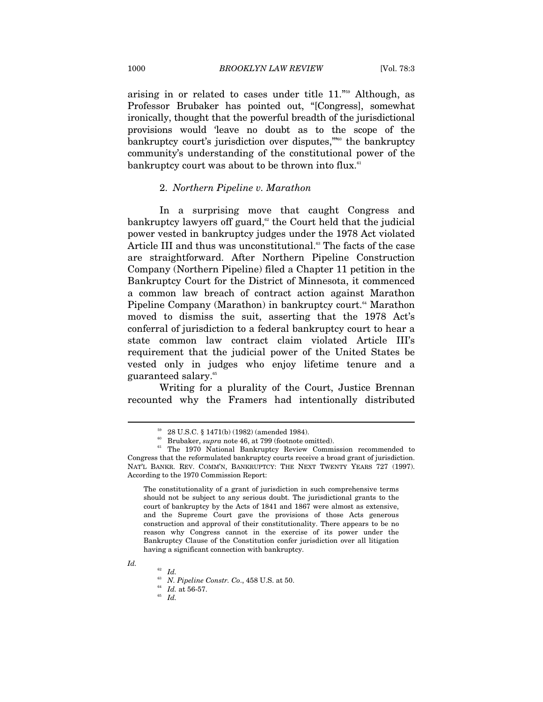arising in or related to cases under title 11."59 Although, as Professor Brubaker has pointed out, "[Congress], somewhat ironically, thought that the powerful breadth of the jurisdictional provisions would 'leave no doubt as to the scope of the bankruptcy court's jurisdiction over disputes,"<sup>960</sup> the bankruptcy community's understanding of the constitutional power of the bankruptcy court was about to be thrown into flux.<sup>61</sup>

#### 2. *Northern Pipeline v. Marathon*

In a surprising move that caught Congress and bankruptcy lawyers off guard,<sup> $\alpha$ </sup> the Court held that the judicial power vested in bankruptcy judges under the 1978 Act violated Article III and thus was unconstitutional.<sup>63</sup> The facts of the case are straightforward. After Northern Pipeline Construction Company (Northern Pipeline) filed a Chapter 11 petition in the Bankruptcy Court for the District of Minnesota, it commenced a common law breach of contract action against Marathon Pipeline Company (Marathon) in bankruptcy court.<sup>64</sup> Marathon moved to dismiss the suit, asserting that the 1978 Act's conferral of jurisdiction to a federal bankruptcy court to hear a state common law contract claim violated Article III's requirement that the judicial power of the United States be vested only in judges who enjoy lifetime tenure and a guaranteed salary.<sup>65</sup>

Writing for a plurality of the Court, Justice Brennan recounted why the Framers had intentionally distributed

The constitutionality of a grant of jurisdiction in such comprehensive terms should not be subject to any serious doubt. The jurisdictional grants to the court of bankruptcy by the Acts of 1841 and 1867 were almost as extensive, and the Supreme Court gave the provisions of those Acts generous construction and approval of their constitutionality. There appears to be no reason why Congress cannot in the exercise of its power under the Bankruptcy Clause of the Constitution confer jurisdiction over all litigation having a significant connection with bankruptcy.

*Id.* 

 $^{59}$  28 U.S.C.  $\S$  1471(b) (1982) (amended 1984).  $^{60}$  Brubaker,  $supra$  note 46, at 799 (footnote omitted).

<sup>&</sup>lt;sup>61</sup> The 1970 National Bankruptcy Review Commission recommended to Congress that the reformulated bankruptcy courts receive a broad grant of jurisdiction. NAT'L BANKR. REV. COMM'N, BANKRUPTCY: THE NEXT TWENTY YEARS 727 (1997). According to the 1970 Commission Report:

<sup>62</sup> *Id.* 63 *N. Pipeline Constr. Co*., 458 U.S. at 50. 64 *Id.* at 56-57. 65 *Id.*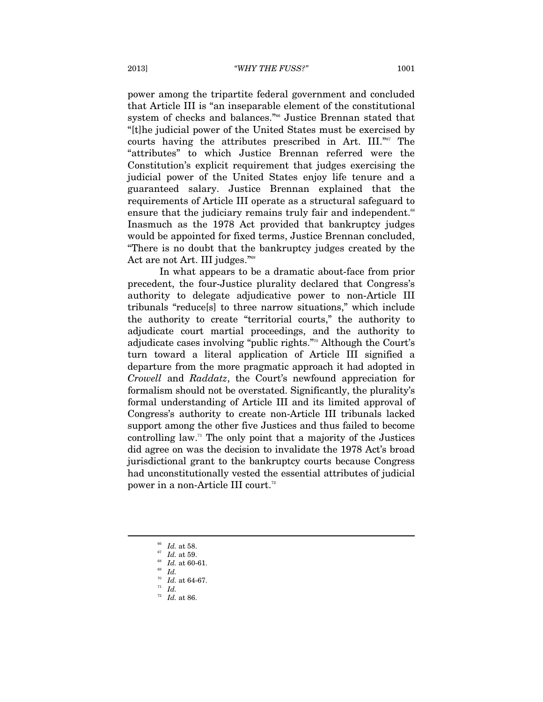power among the tripartite federal government and concluded that Article III is "an inseparable element of the constitutional system of checks and balances."<sup>66</sup> Justice Brennan stated that "[t]he judicial power of the United States must be exercised by courts having the attributes prescribed in Art. III."<sup>67</sup> The "attributes" to which Justice Brennan referred were the Constitution's explicit requirement that judges exercising the judicial power of the United States enjoy life tenure and a guaranteed salary. Justice Brennan explained that the requirements of Article III operate as a structural safeguard to ensure that the judiciary remains truly fair and independent.<sup>68</sup> Inasmuch as the 1978 Act provided that bankruptcy judges would be appointed for fixed terms, Justice Brennan concluded, "There is no doubt that the bankruptcy judges created by the Act are not Art. III judges."<sup>69</sup>

In what appears to be a dramatic about-face from prior precedent, the four-Justice plurality declared that Congress's authority to delegate adjudicative power to non-Article III tribunals "reduce[s] to three narrow situations," which include the authority to create "territorial courts," the authority to adjudicate court martial proceedings, and the authority to adjudicate cases involving "public rights."70 Although the Court's turn toward a literal application of Article III signified a departure from the more pragmatic approach it had adopted in *Crowell* and *Raddatz*, the Court's newfound appreciation for formalism should not be overstated. Significantly, the plurality's formal understanding of Article III and its limited approval of Congress's authority to create non-Article III tribunals lacked support among the other five Justices and thus failed to become controlling law.<sup> $\pi$ </sup> The only point that a majority of the Justices did agree on was the decision to invalidate the 1978 Act's broad jurisdictional grant to the bankruptcy courts because Congress had unconstitutionally vested the essential attributes of judicial power in a non-Article III court.<sup>72</sup>

- 
- 
- $^{72}\,$   $Id.\,$  at 86.

<sup>66</sup> *Id.* at 58. 67 *Id.* at 59. 68 *Id.* at 60-61. 69 *Id.* 70 *Id.* at 64-67. 71 *Id.*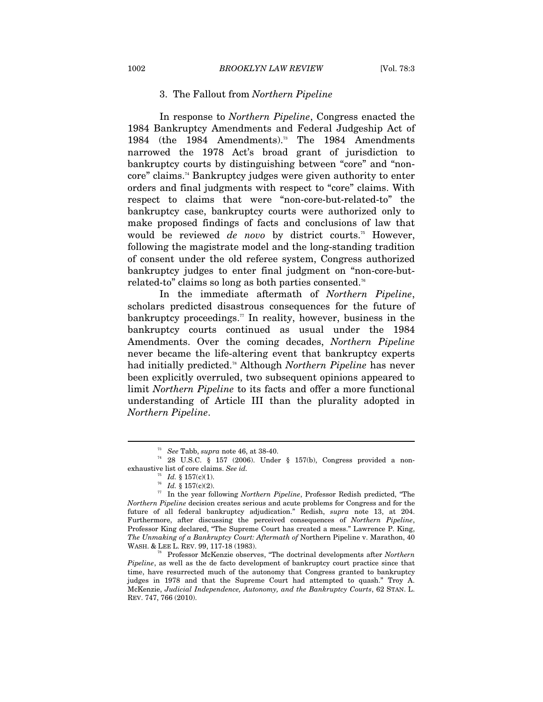#### 3. The Fallout from *Northern Pipeline*

In response to *Northern Pipeline*, Congress enacted the 1984 Bankruptcy Amendments and Federal Judgeship Act of 1984 (the 1984 Amendments).<sup>73</sup> The 1984 Amendments narrowed the 1978 Act's broad grant of jurisdiction to bankruptcy courts by distinguishing between "core" and "noncore" claims.74 Bankruptcy judges were given authority to enter orders and final judgments with respect to "core" claims. With respect to claims that were "non-core-but-related-to" the bankruptcy case, bankruptcy courts were authorized only to make proposed findings of facts and conclusions of law that would be reviewed *de novo* by district courts.<sup>75</sup> However, following the magistrate model and the long-standing tradition of consent under the old referee system, Congress authorized bankruptcy judges to enter final judgment on "non-core-butrelated-to" claims so long as both parties consented.76

In the immediate aftermath of *Northern Pipeline*, scholars predicted disastrous consequences for the future of bankruptcy proceedings.<sup>77</sup> In reality, however, business in the bankruptcy courts continued as usual under the 1984 Amendments. Over the coming decades, *Northern Pipeline*  never became the life-altering event that bankruptcy experts had initially predicted.78 Although *Northern Pipeline* has never been explicitly overruled, two subsequent opinions appeared to limit *Northern Pipeline* to its facts and offer a more functional understanding of Article III than the plurality adopted in *Northern Pipeline*.

<sup>&</sup>lt;sup>73</sup> See Tabb, *supra* note 46, at 38-40.<br><sup>74</sup> 28 U.S.C. § 157 (2006). Under § 157(b), Congress provided a nonexhaustive list of core claims. *See id.*<br><sup>75</sup> *Id.* § 157(c)(1).<br><sup>76</sup> *Id.* § 157(c)(2).<br><sup>77</sup> In the year following *Northern Pipeline*, Professor Redish predicted, "The

*Northern Pipeline* decision creates serious and acute problems for Congress and for the future of all federal bankruptcy adjudication." Redish, *supra* note 13, at 204. Furthermore, after discussing the perceived consequences of *Northern Pipeline*, Professor King declared, "The Supreme Court has created a mess." Lawrence P. King, *The Unmaking of a Bankruptcy Court: Aftermath of Northern Pipeline v. Marathon, 40* WASH. & LEE L. REV. 99, 117-18 (1983).

<sup>&</sup>lt;sup>78</sup> Professor McKenzie observes, "The doctrinal developments after *Northern Pipeline*, as well as the de facto development of bankruptcy court practice since that time, have resurrected much of the autonomy that Congress granted to bankruptcy judges in 1978 and that the Supreme Court had attempted to quash." Troy A. McKenzie, *Judicial Independence, Autonomy, and the Bankruptcy Courts*, 62 STAN. L. REV. 747, 766 (2010).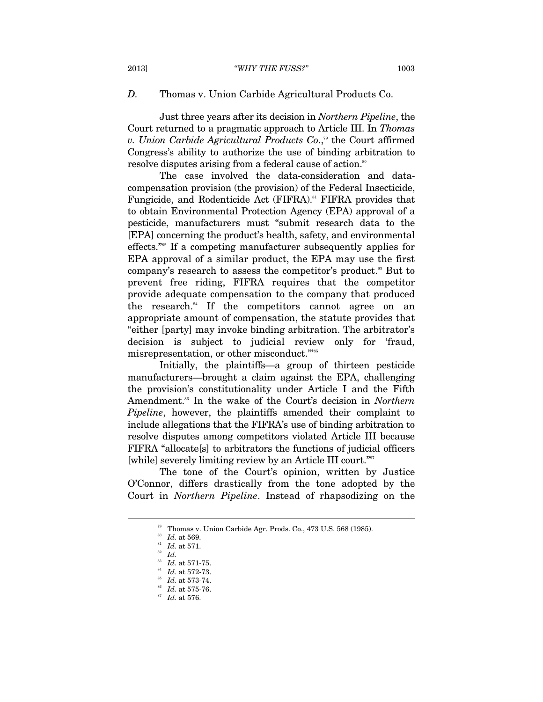### *D.* Thomas v. Union Carbide Agricultural Products Co.

Just three years after its decision in *Northern Pipeline*, the Court returned to a pragmatic approach to Article III. In *Thomas v. Union Carbide Agricultural Products Co.*,<sup>79</sup> the Court affirmed Congress's ability to authorize the use of binding arbitration to resolve disputes arising from a federal cause of action.<sup>80</sup>

The case involved the data-consideration and datacompensation provision (the provision) of the Federal Insecticide, Fungicide, and Rodenticide Act (FIFRA).<sup>81</sup> FIFRA provides that to obtain Environmental Protection Agency (EPA) approval of a pesticide, manufacturers must "submit research data to the [EPA] concerning the product's health, safety, and environmental effects."82 If a competing manufacturer subsequently applies for EPA approval of a similar product, the EPA may use the first company's research to assess the competitor's product.<sup>83</sup> But to prevent free riding, FIFRA requires that the competitor provide adequate compensation to the company that produced the research.<sup>84</sup> If the competitors cannot agree on an appropriate amount of compensation, the statute provides that "either [party] may invoke binding arbitration. The arbitrator's decision is subject to judicial review only for 'fraud, misrepresentation, or other misconduct."<sup>855</sup>

Initially, the plaintiffs—a group of thirteen pesticide manufacturers—brought a claim against the EPA, challenging the provision's constitutionality under Article I and the Fifth Amendment.<sup>86</sup> In the wake of the Court's decision in *Northern Pipeline*, however, the plaintiffs amended their complaint to include allegations that the FIFRA's use of binding arbitration to resolve disputes among competitors violated Article III because FIFRA "allocate[s] to arbitrators the functions of judicial officers [while] severely limiting review by an Article III court."<sup>87</sup>

The tone of the Court's opinion, written by Justice O'Connor, differs drastically from the tone adopted by the Court in *Northern Pipeline*. Instead of rhapsodizing on the

<sup>&</sup>lt;sup>79</sup> Thomas v. Union Carbide Agr. Prods. Co., 473 U.S. 568 (1985).<br><sup>80</sup> Id. at 569.

<sup>80</sup> *Id.* at 569. 81 *Id.* at 571. 82 *Id.*

<sup>83</sup> *Id.* at 571-75. 84 *Id.* at 572-73. 85 *Id.* at 573-74. 86 *Id.* at 575-76. 87 *Id.* at 576.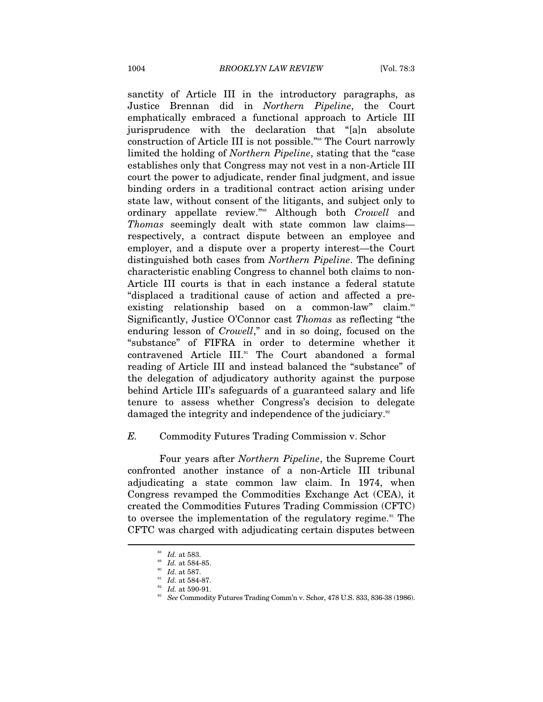sanctity of Article III in the introductory paragraphs, as Justice Brennan did in *Northern Pipeline*, the Court emphatically embraced a functional approach to Article III jurisprudence with the declaration that "[a]n absolute construction of Article III is not possible."88 The Court narrowly limited the holding of *Northern Pipeline*, stating that the "case establishes only that Congress may not vest in a non-Article III court the power to adjudicate, render final judgment, and issue binding orders in a traditional contract action arising under state law, without consent of the litigants, and subject only to ordinary appellate review."89 Although both *Crowell* and *Thomas* seemingly dealt with state common law claims respectively, a contract dispute between an employee and employer, and a dispute over a property interest—the Court distinguished both cases from *Northern Pipeline*. The defining characteristic enabling Congress to channel both claims to non-Article III courts is that in each instance a federal statute "displaced a traditional cause of action and affected a preexisting relationship based on a common-law" claim.<sup>90</sup> Significantly, Justice O'Connor cast *Thomas* as reflecting "the enduring lesson of *Crowell*," and in so doing, focused on the "substance" of FIFRA in order to determine whether it contravened Article III.<sup>91</sup> The Court abandoned a formal reading of Article III and instead balanced the "substance" of the delegation of adjudicatory authority against the purpose behind Article III's safeguards of a guaranteed salary and life tenure to assess whether Congress's decision to delegate damaged the integrity and independence of the judiciary.<sup>92</sup>

### *E.* Commodity Futures Trading Commission v. Schor

Four years after *Northern Pipeline*, the Supreme Court confronted another instance of a non-Article III tribunal adjudicating a state common law claim. In 1974, when Congress revamped the Commodities Exchange Act (CEA), it created the Commodities Futures Trading Commission (CFTC) to oversee the implementation of the regulatory regime.<sup>93</sup> The CFTC was charged with adjudicating certain disputes between

<sup>&</sup>lt;sup>88</sup> Id. at 583.<br><sup>89</sup> Id. at 584-85.<br><sup>91</sup> Id. at 584-87.<br><sup>92</sup> Id. at 590-91.<br><sup>93</sup> See Commodity Futures Trading Comm'n v. Schor, 478 U.S. 833, 836-38 (1986).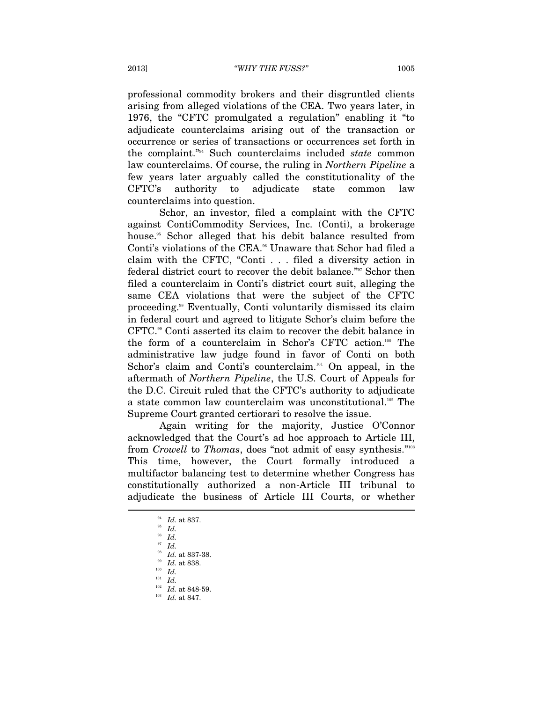professional commodity brokers and their disgruntled clients arising from alleged violations of the CEA. Two years later, in 1976, the "CFTC promulgated a regulation" enabling it "to adjudicate counterclaims arising out of the transaction or occurrence or series of transactions or occurrences set forth in the complaint."94 Such counterclaims included *state* common law counterclaims. Of course, the ruling in *Northern Pipeline* a few years later arguably called the constitutionality of the CFTC's authority to adjudicate state common law counterclaims into question.

Schor, an investor, filed a complaint with the CFTC against ContiCommodity Services, Inc. (Conti), a brokerage house.<sup>95</sup> Schor alleged that his debit balance resulted from Conti's violations of the CEA.<sup>96</sup> Unaware that Schor had filed a claim with the CFTC, "Conti . . . filed a diversity action in federal district court to recover the debit balance."97 Schor then filed a counterclaim in Conti's district court suit, alleging the same CEA violations that were the subject of the CFTC proceeding.98 Eventually, Conti voluntarily dismissed its claim in federal court and agreed to litigate Schor's claim before the CFTC.<sup>99</sup> Conti asserted its claim to recover the debit balance in the form of a counterclaim in Schor's CFTC action.100 The administrative law judge found in favor of Conti on both Schor's claim and Conti's counterclaim.<sup>101</sup> On appeal, in the aftermath of *Northern Pipeline*, the U.S. Court of Appeals for the D.C. Circuit ruled that the CFTC's authority to adjudicate a state common law counterclaim was unconstitutional.<sup>102</sup> The Supreme Court granted certiorari to resolve the issue.

Again writing for the majority, Justice O'Connor acknowledged that the Court's ad hoc approach to Article III, from *Crowell* to *Thomas*, does "not admit of easy synthesis."103 This time, however, the Court formally introduced a multifactor balancing test to determine whether Congress has constitutionally authorized a non-Article III tribunal to adjudicate the business of Article III Courts, or whether  $\overline{a}$ 

<sup>94</sup> *Id.* at 837. 95 *Id.* 96 *Id.* 97 *Id.* 98 *Id.* at 837-38. 99 *Id.* at 838. 100 *Id.* 

<sup>101</sup> *Id.* 102 *Id.* at 848-59. 103 *Id.* at 847.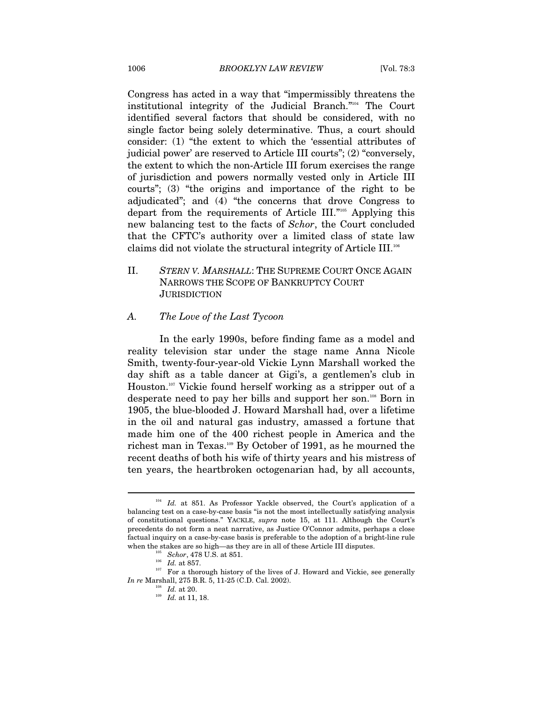Congress has acted in a way that "impermissibly threatens the institutional integrity of the Judicial Branch."104 The Court identified several factors that should be considered, with no single factor being solely determinative. Thus, a court should consider: (1) "the extent to which the 'essential attributes of judicial power' are reserved to Article III courts"; (2) "conversely, the extent to which the non-Article III forum exercises the range of jurisdiction and powers normally vested only in Article III courts"; (3) "the origins and importance of the right to be adjudicated"; and (4) "the concerns that drove Congress to depart from the requirements of Article III."105 Applying this new balancing test to the facts of *Schor*, the Court concluded that the CFTC's authority over a limited class of state law claims did not violate the structural integrity of Article III.106

## II. *STERN V. MARSHALL*: THE SUPREME COURT ONCE AGAIN NARROWS THE SCOPE OF BANKRUPTCY COURT **JURISDICTION**

### *A. The Love of the Last Tycoon*

In the early 1990s, before finding fame as a model and reality television star under the stage name Anna Nicole Smith, twenty-four-year-old Vickie Lynn Marshall worked the day shift as a table dancer at Gigi's, a gentlemen's club in Houston.107 Vickie found herself working as a stripper out of a desperate need to pay her bills and support her son.108 Born in 1905, the blue-blooded J. Howard Marshall had, over a lifetime in the oil and natural gas industry, amassed a fortune that made him one of the 400 richest people in America and the richest man in Texas.109 By October of 1991, as he mourned the recent deaths of both his wife of thirty years and his mistress of ten years, the heartbroken octogenarian had, by all accounts,

<sup>&</sup>lt;sup>104</sup> Id. at 851. As Professor Yackle observed, the Court's application of a balancing test on a case-by-case basis "is not the most intellectually satisfying analysis of constitutional questions." YACKLE, *supra* note 15, at 111. Although the Court's precedents do not form a neat narrative, as Justice O'Connor admits, perhaps a close factual inquiry on a case-by-case basis is preferable to the adoption of a bright-line rule

when the stakes are so high—as they are in all of these Article III disputes.<br><sup>105</sup> *Schor*, 478 U.S. at 851.<br><sup>106</sup> *Id.* at 857. <sup>107</sup> For a thorough history of the lives of J. Howard and Vickie, see generally<br>*In re* Mar

 $\frac{1}{108}$  *Id.* at 20. <sup>109</sup> *Id.* at 11, 18.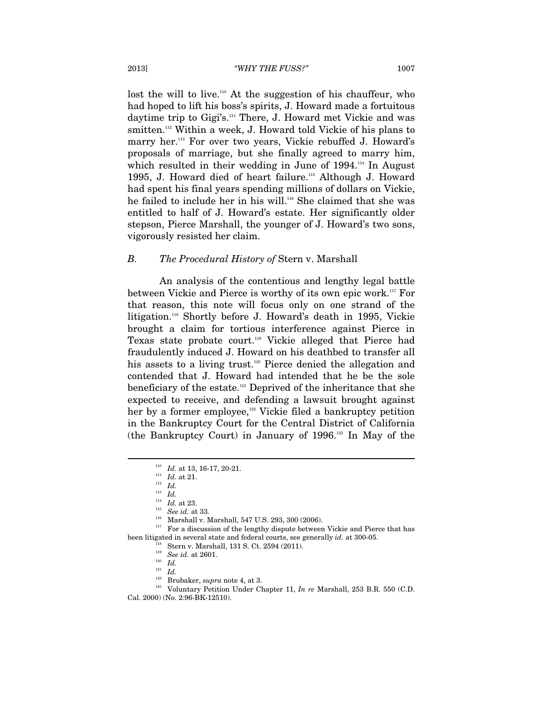lost the will to live.<sup>110</sup> At the suggestion of his chauffeur, who had hoped to lift his boss's spirits, J. Howard made a fortuitous daytime trip to Gigi's.<sup>111</sup> There, J. Howard met Vickie and was smitten.<sup>112</sup> Within a week, J. Howard told Vickie of his plans to marry her.<sup>113</sup> For over two years, Vickie rebuffed J. Howard's proposals of marriage, but she finally agreed to marry him, which resulted in their wedding in June of 1994.<sup>114</sup> In August 1995, J. Howard died of heart failure.115 Although J. Howard had spent his final years spending millions of dollars on Vickie, he failed to include her in his will.116 She claimed that she was entitled to half of J. Howard's estate. Her significantly older stepson, Pierce Marshall, the younger of J. Howard's two sons, vigorously resisted her claim.

#### *B. The Procedural History of* Stern v. Marshall

An analysis of the contentious and lengthy legal battle between Vickie and Pierce is worthy of its own epic work.117 For that reason, this note will focus only on one strand of the litigation.<sup>118</sup> Shortly before J. Howard's death in 1995, Vickie brought a claim for tortious interference against Pierce in Texas state probate court.<sup>119</sup> Vickie alleged that Pierce had fraudulently induced J. Howard on his deathbed to transfer all his assets to a living trust.<sup>120</sup> Pierce denied the allegation and contended that J. Howard had intended that he be the sole beneficiary of the estate.121 Deprived of the inheritance that she expected to receive, and defending a lawsuit brought against her by a former employee,<sup>122</sup> Vickie filed a bankruptcy petition in the Bankruptcy Court for the Central District of California (the Bankruptcy Court) in January of  $1996$ <sup>123</sup> In May of the

 $\overline{a}$ 

 $117$  For a discussion of the lengthy dispute between Vickie and Pierce that has

<sup>110</sup> *Id.* at 13, 16-17, 20-21. 111 *Id.* at 21. 112 *Id.*

 $\overline{113}$  *Id.*<br><sup>114</sup> *Id.* at 23.

<sup>&</sup>lt;sup>115</sup> *See id.* at 33.<br><sup>116</sup> Marshall v. Marshall, 547 U.S. 293, 300 (2006).

been litigated in several state and federal courts, see generally *id.* at 300-05.<br><sup>118</sup> Stern v. Marshall, 131 S. Ct. 2594 (2011).<br><sup>119</sup> See id. at 2601.<br><sup>120</sup> Id.<br><sup>121</sup> Id.<br><sup>122</sup> Brubaker, *supra* note 4, at 3.<br>Voluntar Cal. 2000) (No. 2:96-BK-12510).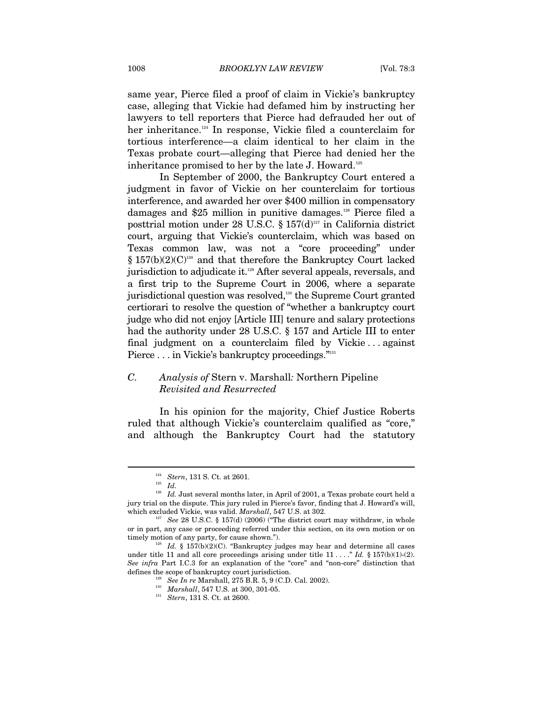same year, Pierce filed a proof of claim in Vickie's bankruptcy case, alleging that Vickie had defamed him by instructing her lawyers to tell reporters that Pierce had defrauded her out of her inheritance.<sup>124</sup> In response, Vickie filed a counterclaim for tortious interference—a claim identical to her claim in the Texas probate court—alleging that Pierce had denied her the inheritance promised to her by the late J. Howard.<sup>125</sup>

In September of 2000, the Bankruptcy Court entered a judgment in favor of Vickie on her counterclaim for tortious interference, and awarded her over \$400 million in compensatory damages and \$25 million in punitive damages.126 Pierce filed a posttrial motion under 28 U.S.C. § 157(d)<sup>127</sup> in California district court, arguing that Vickie's counterclaim, which was based on Texas common law, was not a "core proceeding" under  $§ 157(b)(2)(C)<sup>128</sup>$  and that therefore the Bankruptcy Court lacked jurisdiction to adjudicate it.129 After several appeals, reversals, and a first trip to the Supreme Court in 2006, where a separate jurisdictional question was resolved,<sup>130</sup> the Supreme Court granted certiorari to resolve the question of "whether a bankruptcy court judge who did not enjoy [Article III] tenure and salary protections had the authority under 28 U.S.C. § 157 and Article III to enter final judgment on a counterclaim filed by Vickie . . . against Pierce . . . in Vickie's bankruptcy proceedings."<sup>131</sup>

## *C. Analysis of* Stern v. Marshall*:* Northern Pipeline *Revisited and Resurrected*

In his opinion for the majority, Chief Justice Roberts ruled that although Vickie's counterclaim qualified as "core," and although the Bankruptcy Court had the statutory

<sup>124</sup> *Stern*, 131 S. Ct. at 2601. 125 *Id.* 126 *Id.* Just several months later, in April of 2001, a Texas probate court held a jury trial on the dispute. This jury ruled in Pierce's favor, finding that J. Howard's will, which excluded Vickie, was valid. *Marshall*, 547 U.S. at 302.<br><sup>127</sup> See 28 U.S.C. § 157(d) (2006) ("The district court may withdraw, in whole

or in part, any case or proceeding referred under this section, on its own motion or on timely motion of any party, for cause shown.").<br><sup>128</sup> *Id.* § 157(b)(2)(C). "Bankruptcy judges may hear and determine all cases

under title 11 and all core proceedings arising under title  $11 \ldots$ ." *Id.* § 157(b)(1)-(2). *See infra* Part I.C.3 for an explanation of the "core" and "non-core" distinction that defines the scope of bankruptcy court jurisdiction.<br>
<sup>129</sup> See In re Marshall, 275 B.R. 5, 9 (C.D. Cal. 2002).<br>
<sup>130</sup> Marshall, 547 U.S. at 300, 301-05.<br>
<sup>131</sup> Stern, 131 S. Ct. at 2600.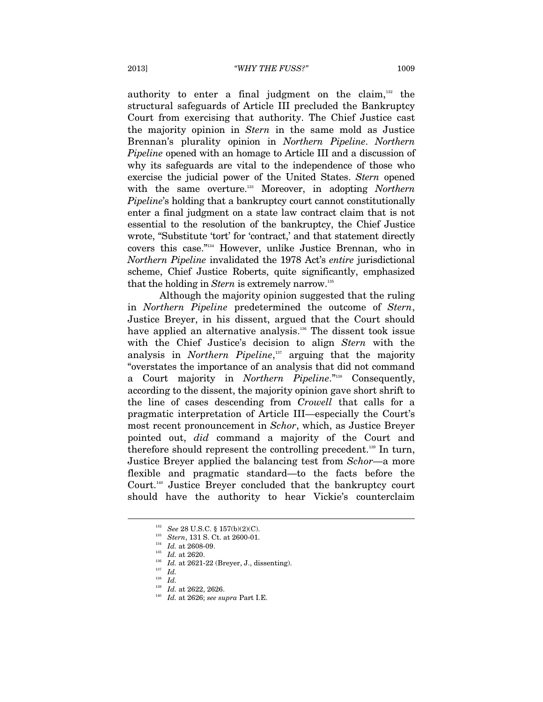authority to enter a final judgment on the claim, $132$  the structural safeguards of Article III precluded the Bankruptcy Court from exercising that authority. The Chief Justice cast the majority opinion in *Stern* in the same mold as Justice Brennan's plurality opinion in *Northern Pipeline*. *Northern Pipeline* opened with an homage to Article III and a discussion of why its safeguards are vital to the independence of those who exercise the judicial power of the United States. *Stern* opened with the same overture.133 Moreover, in adopting *Northern Pipeline*'s holding that a bankruptcy court cannot constitutionally enter a final judgment on a state law contract claim that is not essential to the resolution of the bankruptcy, the Chief Justice wrote, "Substitute 'tort' for 'contract,' and that statement directly covers this case."134 However, unlike Justice Brennan, who in *Northern Pipeline* invalidated the 1978 Act's *entire* jurisdictional scheme, Chief Justice Roberts, quite significantly, emphasized that the holding in *Stern* is extremely narrow.<sup>135</sup>

Although the majority opinion suggested that the ruling in *Northern Pipeline* predetermined the outcome of *Stern*, Justice Breyer, in his dissent, argued that the Court should have applied an alternative analysis.<sup>136</sup> The dissent took issue with the Chief Justice's decision to align *Stern* with the analysis in *Northern Pipeline*, 137 arguing that the majority "overstates the importance of an analysis that did not command a Court majority in *Northern Pipeline*."138 Consequently, according to the dissent, the majority opinion gave short shrift to the line of cases descending from *Crowell* that calls for a pragmatic interpretation of Article III—especially the Court's most recent pronouncement in *Schor*, which, as Justice Breyer pointed out, *did* command a majority of the Court and therefore should represent the controlling precedent.<sup>139</sup> In turn, Justice Breyer applied the balancing test from *Schor*—a more flexible and pragmatic standard—to the facts before the Court.<sup>140</sup> Justice Breyer concluded that the bankruptcy court should have the authority to hear Vickie's counterclaim

<sup>&</sup>lt;sup>132</sup> See 28 U.S.C. § 157(b)(2)(C).<br><sup>133</sup> Stern, 131 S. Ct. at 2600-01.<br><sup>134</sup> Id. at 2608-09.<br><sup>135</sup> Id. at 2620.<br><sup>135</sup> Id. at 2621-22 (Breyer, J., dissenting).<br><sup>135</sup> Id. at 2621-22 (Breyer, J., dissenting).<br><sup>136</sup> Id. at 2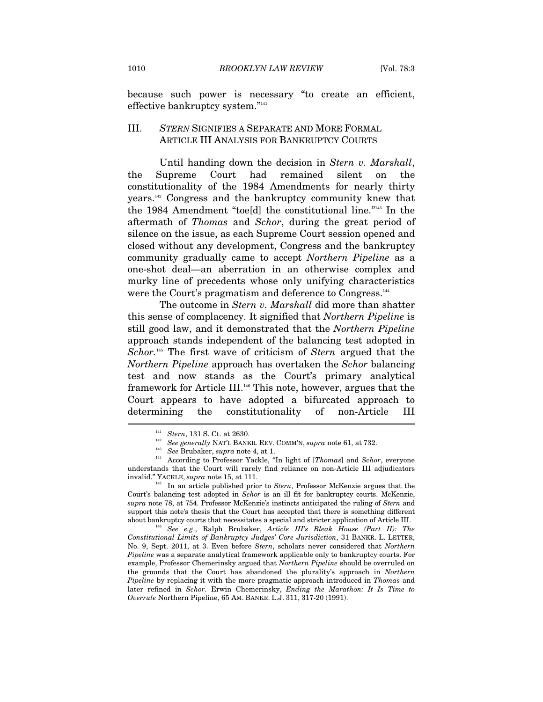because such power is necessary "to create an efficient, effective bankruptcy system."141

## III. *STERN* SIGNIFIES A SEPARATE AND MORE FORMAL ARTICLE III ANALYSIS FOR BANKRUPTCY COURTS

Until handing down the decision in *Stern v. Marshall*, the Supreme Court had remained silent on the constitutionality of the 1984 Amendments for nearly thirty years.142 Congress and the bankruptcy community knew that the 1984 Amendment "toe[d] the constitutional line."143 In the aftermath of *Thomas* and *Schor*, during the great period of silence on the issue, as each Supreme Court session opened and closed without any development, Congress and the bankruptcy community gradually came to accept *Northern Pipeline* as a one-shot deal—an aberration in an otherwise complex and murky line of precedents whose only unifying characteristics were the Court's pragmatism and deference to Congress.<sup>144</sup>

The outcome in *Stern v. Marshall* did more than shatter this sense of complacency. It signified that *Northern Pipeline* is still good law, and it demonstrated that the *Northern Pipeline*  approach stands independent of the balancing test adopted in *Schor.*<sup>145</sup> The first wave of criticism of *Stern* argued that the *Northern Pipeline* approach has overtaken the *Schor* balancing test and now stands as the Court's primary analytical framework for Article III.146 This note, however, argues that the Court appears to have adopted a bifurcated approach to the constitutionality of non-Article III determining

<sup>&</sup>lt;sup>141</sup> Stern, 131 S. Ct. at 2630.<br><sup>142</sup> See generally NAT'L BANKR. REV. COMM'N, *supra* note 61, at 732.

<sup>&</sup>lt;sup>143</sup> See Brubaker, *supra* note 4, at 1.<br><sup>144</sup> According to Professor Yackle, "In light of [*Thomas*] and *Schor*, everyone understands that the Court will rarely find reliance on non-Article III adjudicators invalid." YACKLE, *supra* note 15, at 111.<br><sup>145</sup> In an article published prior to *Stern*, Professor McKenzie argues that the

Court's balancing test adopted in *Schor* is an ill fit for bankruptcy courts. McKenzie, *supra* note 78, at 754. Professor McKenzie's instincts anticipated the ruling of *Stern* and support this note's thesis that the Court has accepted that there is something different about bankruptcy courts that necessitates a special and stricter application of Article III. 146 *See e.g*., Ralph Brubaker, *Article III's Bleak House (Part II): The* 

*Constitutional Limits of Bankruptcy Judges' Core Jurisdiction*, 31 BANKR. L. LETTER, No. 9, Sept. 2011, at 3. Even before *Stern*, scholars never considered that *Northern Pipeline* was a separate analytical framework applicable only to bankruptcy courts. For example, Professor Chemerinsky argued that *Northern Pipeline* should be overruled on the grounds that the Court has abandoned the plurality's approach in *Northern Pipeline* by replacing it with the more pragmatic approach introduced in *Thomas* and later refined in *Schor*. Erwin Chemerinsky, *Ending the Marathon: It Is Time to Overrule* Northern Pipeline, 65 AM. BANKR. L.J. 311, 317-20 (1991).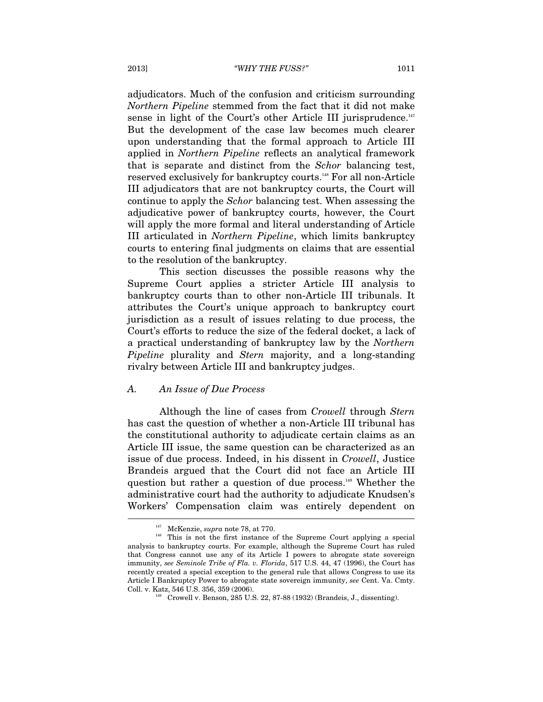adjudicators. Much of the confusion and criticism surrounding *Northern Pipeline* stemmed from the fact that it did not make sense in light of the Court's other Article III jurisprudence. $147$ But the development of the case law becomes much clearer upon understanding that the formal approach to Article III applied in *Northern Pipeline* reflects an analytical framework that is separate and distinct from the *Schor* balancing test, reserved exclusively for bankruptcy courts.148 For all non-Article III adjudicators that are not bankruptcy courts, the Court will continue to apply the *Schor* balancing test. When assessing the adjudicative power of bankruptcy courts, however, the Court will apply the more formal and literal understanding of Article III articulated in *Northern Pipeline*, which limits bankruptcy courts to entering final judgments on claims that are essential to the resolution of the bankruptcy.

This section discusses the possible reasons why the Supreme Court applies a stricter Article III analysis to bankruptcy courts than to other non-Article III tribunals. It attributes the Court's unique approach to bankruptcy court jurisdiction as a result of issues relating to due process, the Court's efforts to reduce the size of the federal docket, a lack of a practical understanding of bankruptcy law by the *Northern Pipeline* plurality and *Stern* majority, and a long-standing rivalry between Article III and bankruptcy judges.

#### *A. An Issue of Due Process*

Although the line of cases from *Crowell* through *Stern*  has cast the question of whether a non-Article III tribunal has the constitutional authority to adjudicate certain claims as an Article III issue, the same question can be characterized as an issue of due process. Indeed, in his dissent in *Crowell*, Justice Brandeis argued that the Court did not face an Article III question but rather a question of due process.149 Whether the administrative court had the authority to adjudicate Knudsen's Workers' Compensation claim was entirely dependent on j

<sup>&</sup>lt;sup>147</sup> McKenzie, *supra* note 78, at 770.<br><sup>148</sup> This is not the first instance of the Supreme Court applying a special analysis to bankruptcy courts. For example, although the Supreme Court has ruled that Congress cannot use any of its Article I powers to abrogate state sovereign immunity, *see Seminole Tribe of Fla. v. Florida*, 517 U.S. 44, 47 (1996), the Court has recently created a special exception to the general rule that allows Congress to use its Article I Bankruptcy Power to abrogate state sovereign immunity, *see* Cent. Va. Cmty. Coll. v. Katz, 546 U.S. 356, 359 (2006). 149 Crowell v. Benson, 285 U.S. 22, 87-88 (1932) (Brandeis, J., dissenting).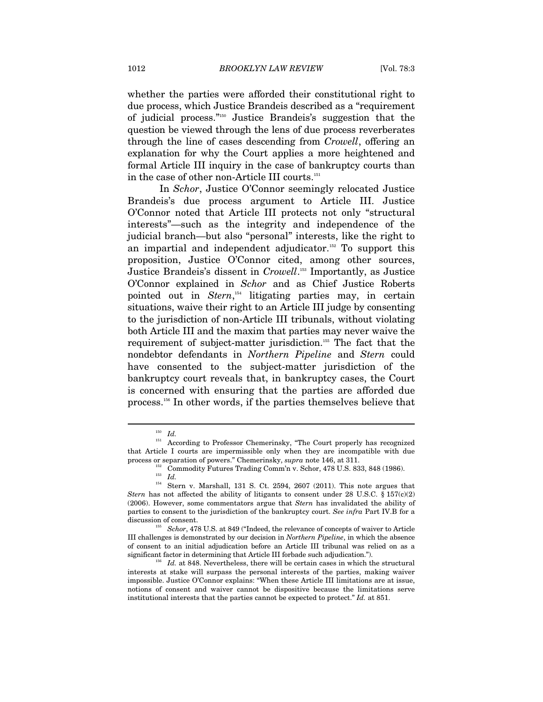whether the parties were afforded their constitutional right to due process, which Justice Brandeis described as a "requirement of judicial process."150 Justice Brandeis's suggestion that the question be viewed through the lens of due process reverberates through the line of cases descending from *Crowell*, offering an explanation for why the Court applies a more heightened and formal Article III inquiry in the case of bankruptcy courts than in the case of other non-Article III courts.<sup>151</sup>

In *Schor*, Justice O'Connor seemingly relocated Justice Brandeis's due process argument to Article III. Justice O'Connor noted that Article III protects not only "structural interests"—such as the integrity and independence of the judicial branch—but also "personal" interests, like the right to an impartial and independent adjudicator.<sup>152</sup> To support this proposition, Justice O'Connor cited, among other sources, Justice Brandeis's dissent in *Crowell*. 153 Importantly, as Justice O'Connor explained in *Schor* and as Chief Justice Roberts pointed out in *Stern*, 154 litigating parties may, in certain situations, waive their right to an Article III judge by consenting to the jurisdiction of non-Article III tribunals, without violating both Article III and the maxim that parties may never waive the requirement of subject-matter jurisdiction.155 The fact that the nondebtor defendants in *Northern Pipeline* and *Stern* could have consented to the subject-matter jurisdiction of the bankruptcy court reveals that, in bankruptcy cases, the Court is concerned with ensuring that the parties are afforded due process.156 In other words, if the parties themselves believe that

 $^{150}$   $\,$   $\! Id.$  According to Professor Chemerinsky, "The Court properly has recognized that Article I courts are impermissible only when they are incompatible with due process or separation of powers." Chemerinsky, *supra* note 146, at 311.<br><sup>152</sup> Commodity Futures Trading Comm'n v. Schor, 478 U.S. 833, 848 (1986).<br><sup>153</sup> *Id* 

<sup>&</sup>lt;sup>154</sup> Stern v. Marshall, 131 S. Ct. 2594, 2607 (2011). This note argues that *Stern* has not affected the ability of litigants to consent under 28 U.S.C. § 157 $(c)(2)$ (2006). However, some commentators argue that *Stern* has invalidated the ability of parties to consent to the jurisdiction of the bankruptcy court. *See infra* Part IV.B for a

discussion of consent. 155 *Schor*, 478 U.S. at 849 ("Indeed, the relevance of concepts of waiver to Article III challenges is demonstrated by our decision in *Northern Pipeline*, in which the absence of consent to an initial adjudication before an Article III tribunal was relied on as a significant factor in determining that Article III forbade such adjudication.").

<sup>&</sup>lt;sup>156</sup> Id. at 848. Nevertheless, there will be certain cases in which the structural interests at stake will surpass the personal interests of the parties, making waiver impossible. Justice O'Connor explains: "When these Article III limitations are at issue, notions of consent and waiver cannot be dispositive because the limitations serve institutional interests that the parties cannot be expected to protect." *Id.* at 851.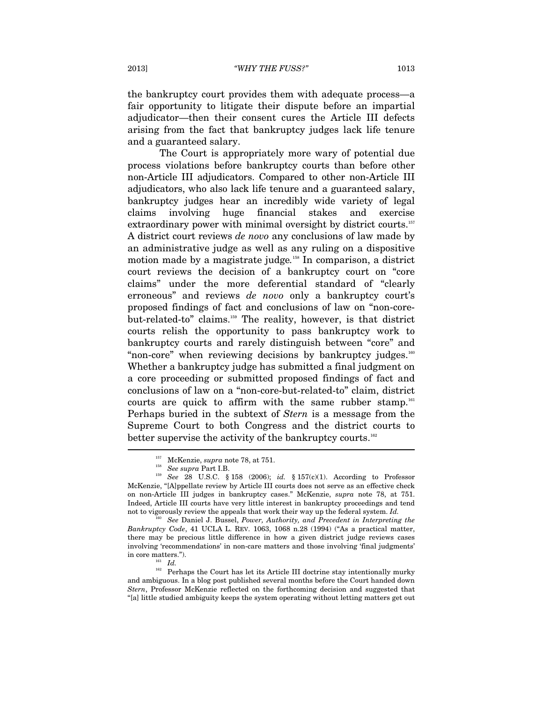the bankruptcy court provides them with adequate process—a fair opportunity to litigate their dispute before an impartial adjudicator—then their consent cures the Article III defects arising from the fact that bankruptcy judges lack life tenure and a guaranteed salary.

The Court is appropriately more wary of potential due process violations before bankruptcy courts than before other non-Article III adjudicators. Compared to other non-Article III adjudicators, who also lack life tenure and a guaranteed salary, bankruptcy judges hear an incredibly wide variety of legal claims involving huge financial stakes and exercise extraordinary power with minimal oversight by district courts.<sup>157</sup> A district court reviews *de novo* any conclusions of law made by an administrative judge as well as any ruling on a dispositive motion made by a magistrate judge*.* <sup>158</sup> In comparison, a district court reviews the decision of a bankruptcy court on "core claims" under the more deferential standard of "clearly erroneous" and reviews *de novo* only a bankruptcy court's proposed findings of fact and conclusions of law on "non-corebut-related-to" claims.<sup>159</sup> The reality, however, is that district courts relish the opportunity to pass bankruptcy work to bankruptcy courts and rarely distinguish between "core" and "non-core" when reviewing decisions by bankruptcy judges.<sup>160</sup> Whether a bankruptcy judge has submitted a final judgment on a core proceeding or submitted proposed findings of fact and conclusions of law on a "non-core-but-related-to" claim, district courts are quick to affirm with the same rubber stamp.<sup>161</sup> Perhaps buried in the subtext of *Stern* is a message from the Supreme Court to both Congress and the district courts to better supervise the activity of the bankruptcy courts.<sup>162</sup>  $\overline{\phantom{a}}$ 

*Bankruptcy Code*, 41 UCLA L. REV. 1063, 1068 n.28 (1994) ("As a practical matter, there may be precious little difference in how a given district judge reviews cases involving 'recommendations' in non-care matters and those involving 'final judgments'

% in core matters.").  $I d.$  161 *Id.* Perhaps the Court has let its Article III doctrine stay intentionally murky and ambiguous. In a blog post published several months before the Court handed down *Stern*, Professor McKenzie reflected on the forthcoming decision and suggested that "[a] little studied ambiguity keeps the system operating without letting matters get out

<sup>157</sup> McKenzie, *supra* note 78, at 751. 158 *See supra* Part I.B. 159 *See* 28 U.S.C. § 158 (2006); *id.* § 157(c)(1). According to Professor McKenzie, "[A]ppellate review by Article III courts does not serve as an effective check on non-Article III judges in bankruptcy cases." McKenzie, *supra* note 78, at 751. Indeed, Article III courts have very little interest in bankruptcy proceedings and tend not to vigorously review the appeals that work their way up the federal system. *Id.* <sup>160</sup> See Daniel J. Bussel, *Power, Authority, and Precedent in Interpreting the*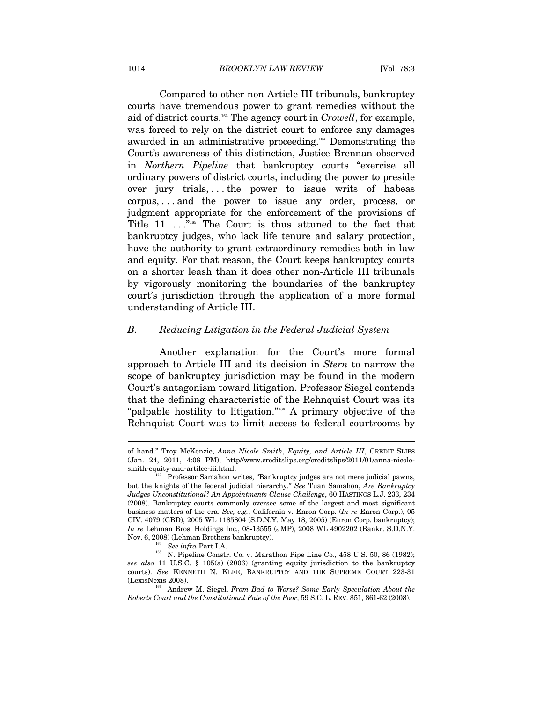Compared to other non-Article III tribunals, bankruptcy courts have tremendous power to grant remedies without the aid of district courts.163 The agency court in *Crowell*, for example, was forced to rely on the district court to enforce any damages awarded in an administrative proceeding.164 Demonstrating the Court's awareness of this distinction, Justice Brennan observed in *Northern Pipeline* that bankruptcy courts "exercise all ordinary powers of district courts, including the power to preside over jury trials, . . . the power to issue writs of habeas corpus, . . . and the power to issue any order, process, or judgment appropriate for the enforcement of the provisions of Title 11 . . . ."165 The Court is thus attuned to the fact that bankruptcy judges, who lack life tenure and salary protection, have the authority to grant extraordinary remedies both in law and equity. For that reason, the Court keeps bankruptcy courts on a shorter leash than it does other non-Article III tribunals by vigorously monitoring the boundaries of the bankruptcy court's jurisdiction through the application of a more formal understanding of Article III.

#### *B. Reducing Litigation in the Federal Judicial System*

Another explanation for the Court's more formal approach to Article III and its decision in *Stern* to narrow the scope of bankruptcy jurisdiction may be found in the modern Court's antagonism toward litigation. Professor Siegel contends that the defining characteristic of the Rehnquist Court was its "palpable hostility to litigation."166 A primary objective of the Rehnquist Court was to limit access to federal courtrooms by

of hand." Troy McKenzie, *Anna Nicole Smith*, *Equity, and Article III*, CREDIT SLIPS (Jan. 24, 2011, 4:08 PM), http//www.creditslips.org/creditslips/2011/01/anna-nicole-

Professor Samahon writes, "Bankruptcy judges are not mere judicial pawns, but the knights of the federal judicial hierarchy." *See* Tuan Samahon, *Are Bankruptcy Judges Unconstitutional? An Appointments Clause Challenge*, 60 HASTINGS L.J. 233, 234 (2008). Bankruptcy courts commonly oversee some of the largest and most significant business matters of the era. *See, e.g.*, California v. Enron Corp. (*In re* Enron Corp.), 05 CIV. 4079 (GBD), 2005 WL 1185804 (S.D.N.Y. May 18, 2005) (Enron Corp. bankruptcy); *In re* Lehman Bros. Holdings Inc., 08-13555 (JMP), 2008 WL 4902202 (Bankr. S.D.N.Y.

Nov. 6, 2008) (Lehman Brothers bankruptcy).<br><sup>164</sup> See infra Part I.A.<br><sup>165</sup> N. Pipeline Constr. Co. v. Marathon Pipe Line Co., 458 U.S. 50, 86 (1982); *see also* 11 U.S.C. § 105(a) (2006) (granting equity jurisdiction to the bankruptcy courts). *See* KENNETH N. KLEE, BANKRUPTCY AND THE SUPREME COURT 223-31

<sup>&</sup>lt;sup>166</sup> Andrew M. Siegel, *From Bad to Worse? Some Early Speculation About the Roberts Court and the Constitutional Fate of the Poor*, 59 S.C. L. REV. 851, 861-62 (2008).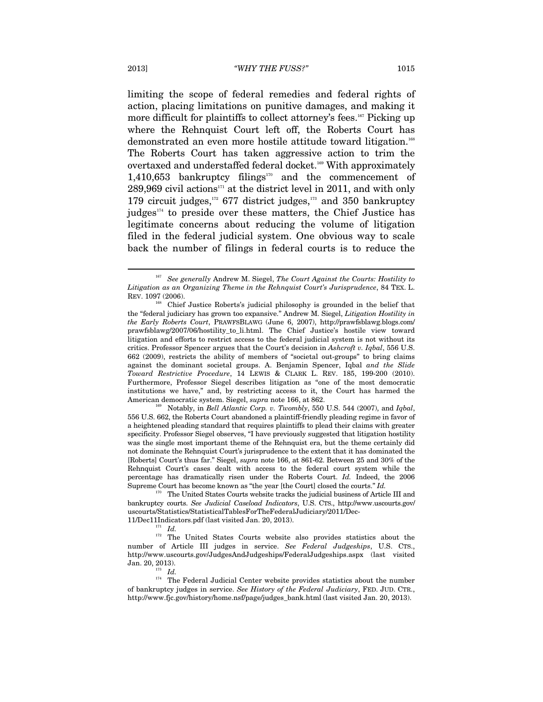limiting the scope of federal remedies and federal rights of action, placing limitations on punitive damages, and making it more difficult for plaintiffs to collect attorney's fees.<sup>167</sup> Picking up where the Rehnquist Court left off, the Roberts Court has demonstrated an even more hostile attitude toward litigation.<sup>168</sup> The Roberts Court has taken aggressive action to trim the overtaxed and understaffed federal docket.169 With approximately 1,410,653 bankruptcy filings $170$  and the commencement of  $289,969$  civil actions<sup>171</sup> at the district level in 2011, and with only 179 circuit judges, $172$  677 district judges, $173$  and 350 bankruptcy judges $174}$  to preside over these matters, the Chief Justice has legitimate concerns about reducing the volume of litigation filed in the federal judicial system. One obvious way to scale back the number of filings in federal courts is to reduce the

556 U.S. 662, the Roberts Court abandoned a plaintiff-friendly pleading regime in favor of a heightened pleading standard that requires plaintiffs to plead their claims with greater specificity. Professor Siegel observes, "I have previously suggested that litigation hostility was the single most important theme of the Rehnquist era, but the theme certainly did not dominate the Rehnquist Court's jurisprudence to the extent that it has dominated the [Roberts] Court's thus far." Siegel, *supra* note 166, at 861-62. Between 25 and 30% of the Rehnquist Court's cases dealt with access to the federal court system while the percentage has dramatically risen under the Roberts Court. *Id.* Indeed, the 2006 Supreme Court has become known as "the year [the Court] closed the courts." *Id.*

<sup>170</sup> The United States Courts website tracks the judicial business of Article III and bankruptcy courts. *See Judicial Caseload Indicators*, U.S. CTS., http://www.uscourts.gov/ uscourts/Statistics/StatisticalTablesForTheFederalJudiciary/2011/Dec-

11/Dec11Indicators.pdf (last visited Jan. 20, 2013). 171 *Id.* 172 The United States Courts website also provides statistics about the number of Article III judges in service. *See Federal Judgeships*, U.S. CTS., http://www.uscourts.gov/JudgesAndJudgeships/FederalJudgeships.aspx (last visited

Jan. 20, 2013). 173 *Id.* 174 The Federal Judicial Center website provides statistics about the number of bankruptcy judges in service. *See History of the Federal Judiciary*, FED. JUD. CTR., http://www.fjc.gov/history/home.nsf/page/judges\_bank.html (last visited Jan. 20, 2013).

<sup>167</sup> *See generally* Andrew M. Siegel, *The Court Against the Courts: Hostility to Litigation as an Organizing Theme in the Rehnquist Court's Jurisprudence*, 84 TEX. L. REV. 1097 (2006).<br><sup>168</sup> Chief Justice Roberts's judicial philosophy is grounded in the belief that

the "federal judiciary has grown too expansive." Andrew M. Siegel, *Litigation Hostility in the Early Roberts Court*, PRAWFSBLAWG (June 6, 2007), http://prawfsblawg.blogs.com/ prawfsblawg/2007/06/hostility\_to\_li.html. The Chief Justice's hostile view toward litigation and efforts to restrict access to the federal judicial system is not without its critics. Professor Spencer argues that the Court's decision in *Ashcroft v. Iqbal*, 556 U.S. 662 (2009), restricts the ability of members of "societal out-groups" to bring claims against the dominant societal groups. A. Benjamin Spencer, Iqbal *and the Slide Toward Restrictive Procedure*, 14 LEWIS & CLARK L. REV. 185, 199-200 (2010). Furthermore, Professor Siegel describes litigation as "one of the most democratic institutions we have," and, by restricting access to it, the Court has harmed the American democratic system. Siegel, *supra* note 166, at 862.<br><sup>169</sup> Notably, in *Bell Atlantic Corp. v. Twombly*, 550 U.S. 544 (2007), and *Iqbal*,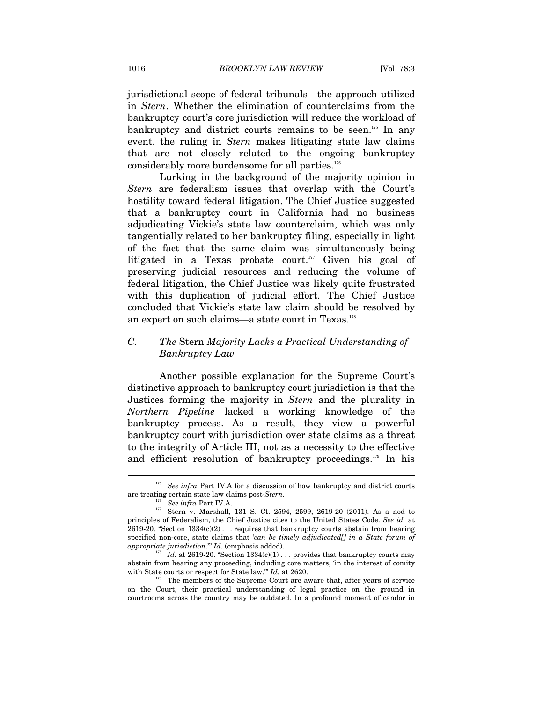jurisdictional scope of federal tribunals—the approach utilized in *Stern*. Whether the elimination of counterclaims from the bankruptcy court's core jurisdiction will reduce the workload of bankruptcy and district courts remains to be seen.<sup>175</sup> In any event, the ruling in *Stern* makes litigating state law claims that are not closely related to the ongoing bankruptcy considerably more burdensome for all parties.<sup>176</sup>

Lurking in the background of the majority opinion in *Stern* are federalism issues that overlap with the Court's hostility toward federal litigation. The Chief Justice suggested that a bankruptcy court in California had no business adjudicating Vickie's state law counterclaim, which was only tangentially related to her bankruptcy filing, especially in light of the fact that the same claim was simultaneously being litigated in a Texas probate court. $177$  Given his goal of preserving judicial resources and reducing the volume of federal litigation, the Chief Justice was likely quite frustrated with this duplication of judicial effort. The Chief Justice concluded that Vickie's state law claim should be resolved by an expert on such claims—a state court in Texas.<sup>178</sup>

## *C. The* Stern *Majority Lacks a Practical Understanding of Bankruptcy Law*

Another possible explanation for the Supreme Court's distinctive approach to bankruptcy court jurisdiction is that the Justices forming the majority in *Stern* and the plurality in *Northern Pipeline* lacked a working knowledge of the bankruptcy process. As a result, they view a powerful bankruptcy court with jurisdiction over state claims as a threat to the integrity of Article III, not as a necessity to the effective and efficient resolution of bankruptcy proceedings.179 In his

<sup>175</sup> *See infra* Part IV.A for a discussion of how bankruptcy and district courts are treating certain state law claims post-*Stern*.<br><sup>176</sup> See *infra* Part IV.A.<br><sup>177</sup> Stern v. Marshall, 131 S. Ct. 2594, 2599, 2619-20 (2011). As a nod to

principles of Federalism, the Chief Justice cites to the United States Code. *See id.* at 2619-20. "Section  $1334(c)(2)$ ... requires that bankruptcy courts abstain from hearing specified non-core, state claims that *'can be timely adjudicated*[] in a State forum of appropriate jurisdiction." Id. (emphasis added).

<sup>&</sup>lt;sup>178</sup> Id. at 2619-20. "Section 1334(c)(1) . . . provides that bankruptcy courts may abstain from hearing any proceeding, including core matters, 'in the interest of comity with State courts or respect for State law."  $Id$ . at 2620.

<sup>&</sup>lt;sup>179</sup> The members of the Supreme Court are aware that, after years of service on the Court, their practical understanding of legal practice on the ground in courtrooms across the country may be outdated. In a profound moment of candor in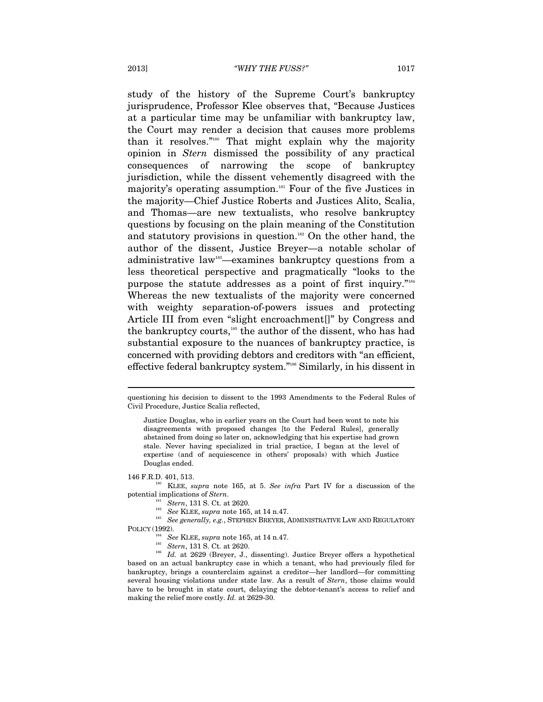study of the history of the Supreme Court's bankruptcy jurisprudence, Professor Klee observes that, "Because Justices at a particular time may be unfamiliar with bankruptcy law, the Court may render a decision that causes more problems than it resolves."180 That might explain why the majority opinion in *Stern* dismissed the possibility of any practical consequences of narrowing the scope of bankruptcy jurisdiction, while the dissent vehemently disagreed with the majority's operating assumption.<sup>181</sup> Four of the five Justices in the majority—Chief Justice Roberts and Justices Alito, Scalia, and Thomas—are new textualists, who resolve bankruptcy questions by focusing on the plain meaning of the Constitution and statutory provisions in question.<sup>182</sup> On the other hand, the author of the dissent, Justice Breyer—a notable scholar of administrative law183—examines bankruptcy questions from a less theoretical perspective and pragmatically "looks to the purpose the statute addresses as a point of first inquiry."184 Whereas the new textualists of the majority were concerned with weighty separation-of-powers issues and protecting Article III from even "slight encroachment<sup>"</sup> by Congress and the bankruptcy courts,<sup>185</sup> the author of the dissent, who has had substantial exposure to the nuances of bankruptcy practice, is concerned with providing debtors and creditors with "an efficient, effective federal bankruptcy system."186 Similarly, in his dissent in

 $\overline{a}$ 

146 F.R.D. 401, 513. 180 KLEE, *supra* note 165, at 5. *See infra* Part IV for a discussion of the

potential implications of *Stern*.<br>
<sup>181</sup> *Stern*, 131 S. Ct. at 2620.<br>
<sup>182</sup> *See KLEE, supra* note 165, at 14 n.47.<br>
<sup>183</sup> *See generally, e.g.*, STEPHEN BREYER, ADMINISTRATIVE LAW AND REGULATORY POLICY (1992). See KLEE, supra note 165, at 14 n.47.

questioning his decision to dissent to the 1993 Amendments to the Federal Rules of Civil Procedure, Justice Scalia reflected,

Justice Douglas, who in earlier years on the Court had been wont to note his disagreements with proposed changes [to the Federal Rules], generally abstained from doing so later on, acknowledging that his expertise had grown stale. Never having specialized in trial practice, I began at the level of expertise (and of acquiescence in others' proposals) with which Justice Douglas ended.

<sup>185</sup> *Stern*, 131 S. Ct. at 2620.<br><sup>186</sup> Id. at 2629 (Breyer, J., dissenting). Justice Breyer offers a hypothetical based on an actual bankruptcy case in which a tenant, who had previously filed for bankruptcy, brings a counterclaim against a creditor—her landlord—for committing several housing violations under state law. As a result of *Stern*, those claims would have to be brought in state court, delaying the debtor-tenant's access to relief and making the relief more costly. *Id.* at 2629-30.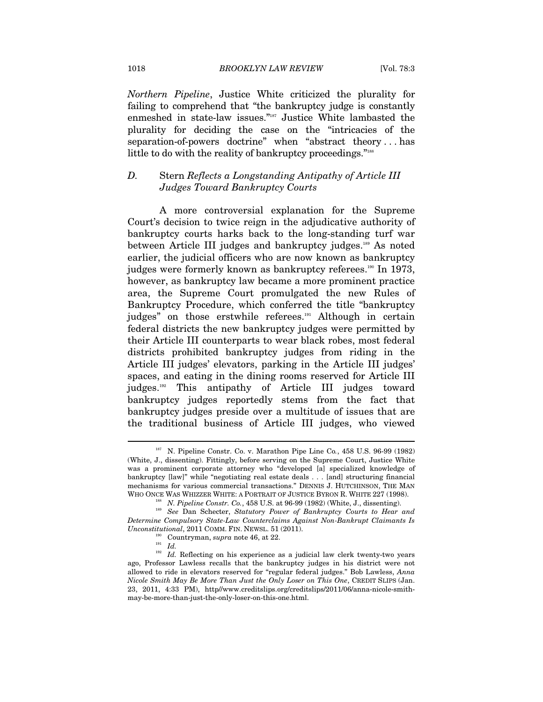*Northern Pipeline*, Justice White criticized the plurality for failing to comprehend that "the bankruptcy judge is constantly enmeshed in state-law issues."187 Justice White lambasted the plurality for deciding the case on the "intricacies of the separation-of-powers doctrine" when "abstract theory . . . has little to do with the reality of bankruptcy proceedings."<sup>188</sup>

## *D.* Stern *Reflects a Longstanding Antipathy of Article III Judges Toward Bankruptcy Courts*

A more controversial explanation for the Supreme Court's decision to twice reign in the adjudicative authority of bankruptcy courts harks back to the long-standing turf war between Article III judges and bankruptcy judges.<sup>189</sup> As noted earlier, the judicial officers who are now known as bankruptcy judges were formerly known as bankruptcy referees.190 In 1973, however, as bankruptcy law became a more prominent practice area, the Supreme Court promulgated the new Rules of Bankruptcy Procedure, which conferred the title "bankruptcy judges" on those erstwhile referees.<sup>191</sup> Although in certain federal districts the new bankruptcy judges were permitted by their Article III counterparts to wear black robes, most federal districts prohibited bankruptcy judges from riding in the Article III judges' elevators, parking in the Article III judges' spaces, and eating in the dining rooms reserved for Article III judges.<sup>192</sup> This antipathy of Article III judges toward bankruptcy judges reportedly stems from the fact that bankruptcy judges preside over a multitude of issues that are the traditional business of Article III judges, who viewed

<sup>187</sup> N. Pipeline Constr. Co. v. Marathon Pipe Line Co*.*, 458 U.S. 96-99 (1982) (White, J., dissenting). Fittingly, before serving on the Supreme Court, Justice White was a prominent corporate attorney who "developed [a] specialized knowledge of bankruptcy [law]" while "negotiating real estate deals . . . [and] structuring financial mechanisms for various commercial transactions." DENNIS J. HUTCHINSON, THE MAN WHO ONCE WAS WHIZZER WHITE: A PORTRAIT OF JUSTICE BYRON R. WHITE 227 (1998).<br><sup>188</sup> N. Pipeline Constr. Co., 458 U.S. at 96-99 (1982) (White, J., dissenting).<br><sup>189</sup> See Dan Schecter, *Statutory Power of Bankruptcy Courts t* 

*Determine Compulsory State-Law Counterclaims Against Non-Bankrupt Claimants Is Unconstitutional*, 2011 COMM. FIN. NEWSL. 51 (2011).<br><sup>190</sup> Countryman, *supra* note 46, at 22.<br><sup>192</sup> *Id.* Reflecting on his experience as a judicial law clerk twenty-two years

ago, Professor Lawless recalls that the bankruptcy judges in his district were not allowed to ride in elevators reserved for "regular federal judges." Bob Lawless, *Anna Nicole Smith May Be More Than Just the Only Loser on This One*, CREDIT SLIPS (Jan. 23, 2011, 4:33 PM), http//www.creditslips.org/creditslips/2011/06/anna-nicole-smithmay-be-more-than-just-the-only-loser-on-this-one.html.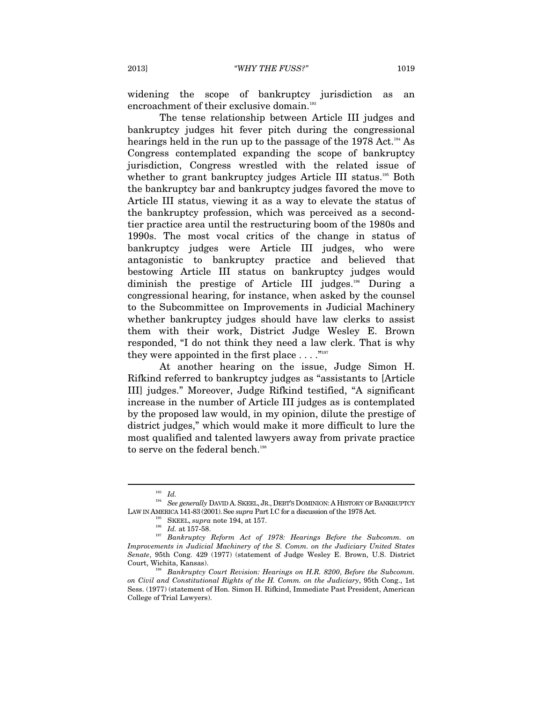widening the scope of bankruptcy jurisdiction as an encroachment of their exclusive domain.<sup>193</sup>

The tense relationship between Article III judges and bankruptcy judges hit fever pitch during the congressional hearings held in the run up to the passage of the 1978 Act.<sup>194</sup> As Congress contemplated expanding the scope of bankruptcy jurisdiction, Congress wrestled with the related issue of whether to grant bankruptcy judges Article III status.<sup>195</sup> Both the bankruptcy bar and bankruptcy judges favored the move to Article III status, viewing it as a way to elevate the status of the bankruptcy profession, which was perceived as a secondtier practice area until the restructuring boom of the 1980s and 1990s. The most vocal critics of the change in status of bankruptcy judges were Article III judges, who were antagonistic to bankruptcy practice and believed that bestowing Article III status on bankruptcy judges would diminish the prestige of Article III judges.196 During a congressional hearing, for instance, when asked by the counsel to the Subcommittee on Improvements in Judicial Machinery whether bankruptcy judges should have law clerks to assist them with their work, District Judge Wesley E. Brown responded, "I do not think they need a law clerk. That is why they were appointed in the first place  $\dots$ ."<sup>197</sup>

At another hearing on the issue, Judge Simon H. Rifkind referred to bankruptcy judges as "assistants to [Article III] judges." Moreover, Judge Rifkind testified, "A significant increase in the number of Article III judges as is contemplated by the proposed law would, in my opinion, dilute the prestige of district judges," which would make it more difficult to lure the most qualified and talented lawyers away from private practice to serve on the federal bench.<sup>198</sup>

<sup>193</sup> *Id.* 194 *See generally* DAVID A. SKEEL, JR., DEBT'S DOMINION: <sup>A</sup> HISTORY OF BANKRUPTCY LAW IN AMERICA 141-83 (2001). See *supra* Part I.C for a discussion of the 1978 Act. Supra note 194, at 157.

 $\frac{196}{Id}$ . at 157-58.

<sup>197</sup> *Bankruptcy Reform Act of 1978: Hearings Before the Subcomm. on Improvements in Judicial Machinery of the S. Comm. on the Judiciary United States Senate*, 95th Cong. 429 (1977) (statement of Judge Wesley E. Brown, U.S. District

<sup>&</sup>lt;sup>198</sup> Bankruptcy Court Revision: Hearings on H.R. 8200, *Before the Subcomm. on Civil and Constitutional Rights of the H. Comm. on the Judiciary*, 95th Cong., 1st Sess. (1977) (statement of Hon. Simon H. Rifkind, Immediate Past President, American College of Trial Lawyers).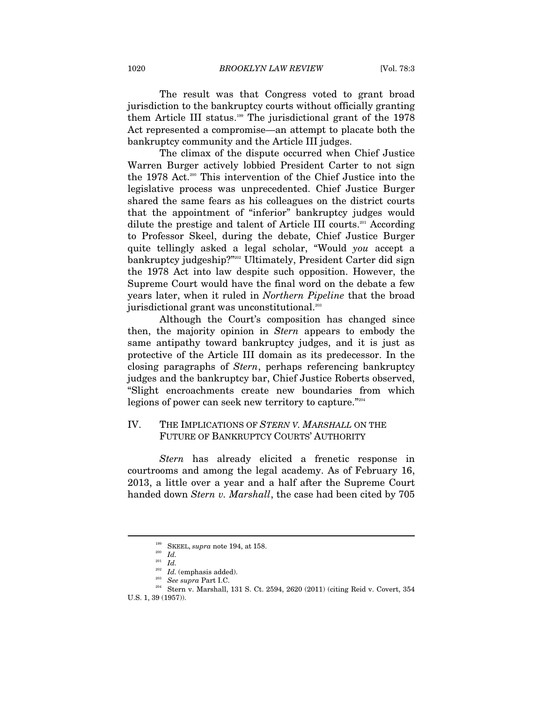The result was that Congress voted to grant broad jurisdiction to the bankruptcy courts without officially granting them Article III status.199 The jurisdictional grant of the 1978 Act represented a compromise—an attempt to placate both the bankruptcy community and the Article III judges.

The climax of the dispute occurred when Chief Justice Warren Burger actively lobbied President Carter to not sign the 1978 Act.<sup>200</sup> This intervention of the Chief Justice into the legislative process was unprecedented. Chief Justice Burger shared the same fears as his colleagues on the district courts that the appointment of "inferior" bankruptcy judges would dilute the prestige and talent of Article III courts.201 According to Professor Skeel, during the debate, Chief Justice Burger quite tellingly asked a legal scholar, "Would *you* accept a bankruptcy judgeship?"202 Ultimately, President Carter did sign the 1978 Act into law despite such opposition. However, the Supreme Court would have the final word on the debate a few years later, when it ruled in *Northern Pipeline* that the broad jurisdictional grant was unconstitutional.<sup>203</sup>

Although the Court's composition has changed since then, the majority opinion in *Stern* appears to embody the same antipathy toward bankruptcy judges, and it is just as protective of the Article III domain as its predecessor. In the closing paragraphs of *Stern*, perhaps referencing bankruptcy judges and the bankruptcy bar, Chief Justice Roberts observed, "Slight encroachments create new boundaries from which legions of power can seek new territory to capture."<sup>204</sup>

## IV. THE IMPLICATIONS OF *STERN V. MARSHALL* ON THE FUTURE OF BANKRUPTCY COURTS' AUTHORITY

*Stern* has already elicited a frenetic response in courtrooms and among the legal academy. As of February 16, 2013, a little over a year and a half after the Supreme Court handed down *Stern v. Marshall*, the case had been cited by 705

<sup>199</sup> SKEEL, *supra* note 194, at 158.

<sup>200</sup> *Id.*

 $\frac{201}{202}$  *Id.* (emphasis added).

<sup>&</sup>lt;sup>203</sup> See supra Part I.C.<br><sup>204</sup> Stern v. Marshall, 131 S. Ct. 2594, 2620 (2011) (citing Reid v. Covert, 354 U.S. 1, 39 (1957)).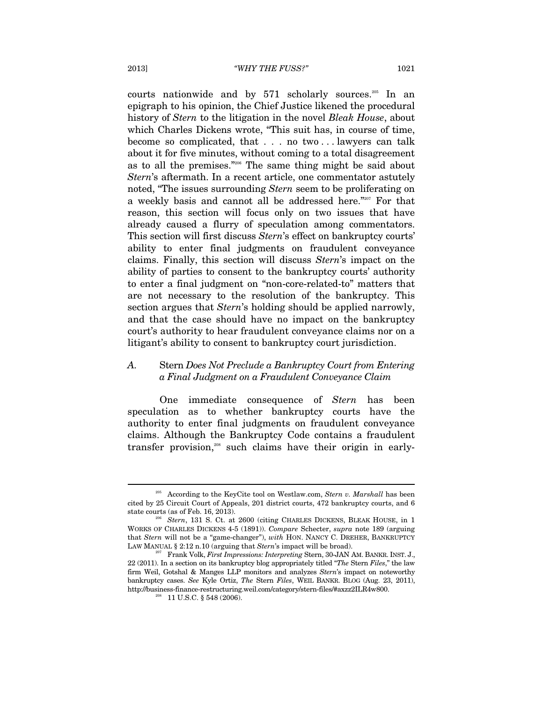courts nationwide and by 571 scholarly sources.205 In an epigraph to his opinion, the Chief Justice likened the procedural history of *Stern* to the litigation in the novel *Bleak House*, about which Charles Dickens wrote, "This suit has, in course of time, become so complicated, that . . . no two . . . lawyers can talk about it for five minutes, without coming to a total disagreement as to all the premises."206 The same thing might be said about *Stern*'s aftermath. In a recent article, one commentator astutely noted, "The issues surrounding *Stern* seem to be proliferating on a weekly basis and cannot all be addressed here."207 For that reason, this section will focus only on two issues that have already caused a flurry of speculation among commentators. This section will first discuss *Stern*'s effect on bankruptcy courts' ability to enter final judgments on fraudulent conveyance claims. Finally, this section will discuss *Stern*'s impact on the ability of parties to consent to the bankruptcy courts' authority to enter a final judgment on "non-core-related-to" matters that are not necessary to the resolution of the bankruptcy. This section argues that *Stern*'s holding should be applied narrowly, and that the case should have no impact on the bankruptcy court's authority to hear fraudulent conveyance claims nor on a litigant's ability to consent to bankruptcy court jurisdiction.

## *A.* Stern *Does Not Preclude a Bankruptcy Court from Entering a Final Judgment on a Fraudulent Conveyance Claim*

One immediate consequence of *Stern* has been speculation as to whether bankruptcy courts have the authority to enter final judgments on fraudulent conveyance claims. Although the Bankruptcy Code contains a fraudulent transfer provision,<sup>208</sup> such claims have their origin in early-

<sup>205</sup> According to the KeyCite tool on Westlaw.com, *Stern v. Marshall* has been cited by 25 Circuit Court of Appeals, 201 district courts, 472 bankruptcy courts, and 6 state courts (as of Feb. 16, 2013).

<sup>&</sup>lt;sup>206</sup> Stern, 131 S. Ct. at 2600 (citing CHARLES DICKENS, BLEAK HOUSE, in 1 WORKS OF CHARLES DICKENS 4-5 (1891)). *Compare* Schecter, *supra* note 189 (arguing that *Stern* will not be a "game-changer"), *with* HON. NANCY C. DREHER, BANKRUPTCY LAW MANUAL § 2:12 n.10 (arguing that *Stern's* impact will be broad).

<sup>&</sup>lt;sup>207</sup> Frank Volk, *First Impressions: Interpreting Stern*, 30-JAN AM. BANKR. INST. J., 22 (2011). In a section on its bankruptcy blog appropriately titled "*The* Stern *Files*," the law firm Weil, Gotshal & Manges LLP monitors and analyzes *Stern*'s impact on noteworthy bankruptcy cases. *See* Kyle Ortiz, *The* Stern *Files*, WEIL BANKR. BLOG (Aug. 23, 2011), <code>http://business-finance-restructuring.weil.com/category/stern-files/#axzz2ILR4w800.</code> 208 11 U.S.C. § 548 (2006).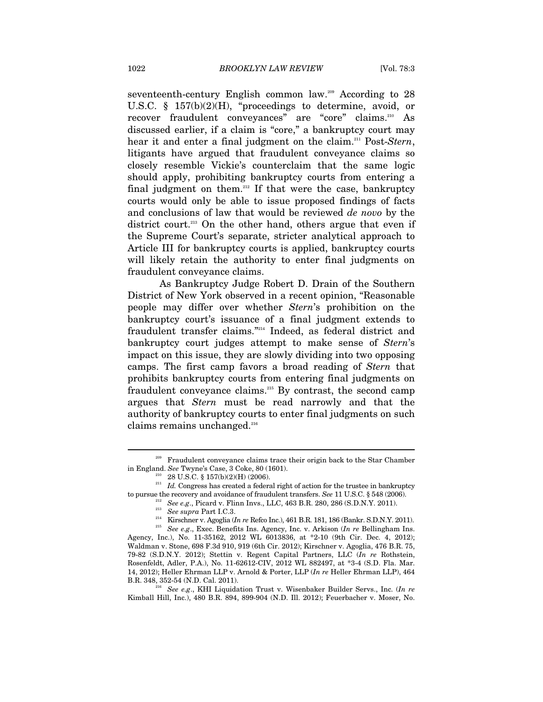seventeenth-century English common law.<sup>209</sup> According to 28 U.S.C. § 157(b)(2)(H), "proceedings to determine, avoid, or recover fraudulent conveyances" are "core" claims.<sup>210</sup> As discussed earlier, if a claim is "core," a bankruptcy court may hear it and enter a final judgment on the claim.211 Post-*Stern*, litigants have argued that fraudulent conveyance claims so closely resemble Vickie's counterclaim that the same logic should apply, prohibiting bankruptcy courts from entering a final judgment on them.<sup>212</sup> If that were the case, bankruptcy courts would only be able to issue proposed findings of facts and conclusions of law that would be reviewed *de novo* by the district court.<sup>213</sup> On the other hand, others argue that even if the Supreme Court's separate, stricter analytical approach to Article III for bankruptcy courts is applied, bankruptcy courts will likely retain the authority to enter final judgments on fraudulent conveyance claims.

As Bankruptcy Judge Robert D. Drain of the Southern District of New York observed in a recent opinion, "Reasonable people may differ over whether *Stern*'s prohibition on the bankruptcy court's issuance of a final judgment extends to fraudulent transfer claims."214 Indeed, as federal district and bankruptcy court judges attempt to make sense of *Stern*'s impact on this issue, they are slowly dividing into two opposing camps. The first camp favors a broad reading of *Stern* that prohibits bankruptcy courts from entering final judgments on fraudulent conveyance claims.<sup>215</sup> By contrast, the second camp argues that *Stern* must be read narrowly and that the authority of bankruptcy courts to enter final judgments on such claims remains unchanged.<sup>216</sup>

 $\overline{a}$ 

 $\mathcal{S}^{216}$  *See e.g.*, KHI Liquidation Trust v. Wisenbaker Builder Servs., Inc. (*In re* Kimball Hill, Inc.), 480 B.R. 894, 899-904 (N.D. Ill. 2012); Feuerbacher v. Moser, No.

<sup>&</sup>lt;sup>209</sup> Fraudulent conveyance claims trace their origin back to the Star Chamber

in England. *See* Twyne's Case, 3 Coke, 80 (1601).<br><sup>210</sup> 28 U.S.C. § 157(b)(2)(H) (2006).<br><sup>211</sup> *Id.* Congress has created a federal right of action for the trustee in bankruptcy<br>to pursue the recovery and avoidance of fra

 $^{212}$  See e.g., Picard v. Flinn Invs., LLC, 463 B.R. 280, 286 (S.D.N.Y. 2011).<br>  $^{213}$  See supra Part I.C.3.<br>
Kirschner v. Agoglia (In $r$ e Refco Inc.), 461 B.R. 181, 186 (Bankr. S.D.N.Y. 2011).<br>
See e.g., Exec. Benefit

Agency, Inc.), No. 11-35162, 2012 WL 6013836, at \*2-10 (9th Cir. Dec. 4, 2012); Waldman v. Stone, 698 F.3d 910, 919 (6th Cir. 2012); Kirschner v. Agoglia, 476 B.R. 75, 79-82 (S.D.N.Y. 2012); Stettin v. Regent Capital Partners, LLC (*In re* Rothstein, Rosenfeldt, Adler, P.A.), No. 11-62612-CIV, 2012 WL 882497, at \*3-4 (S.D. Fla. Mar. 14, 2012); Heller Ehrman LLP v. Arnold & Porter, LLP (*In re* Heller Ehrman LLP), 464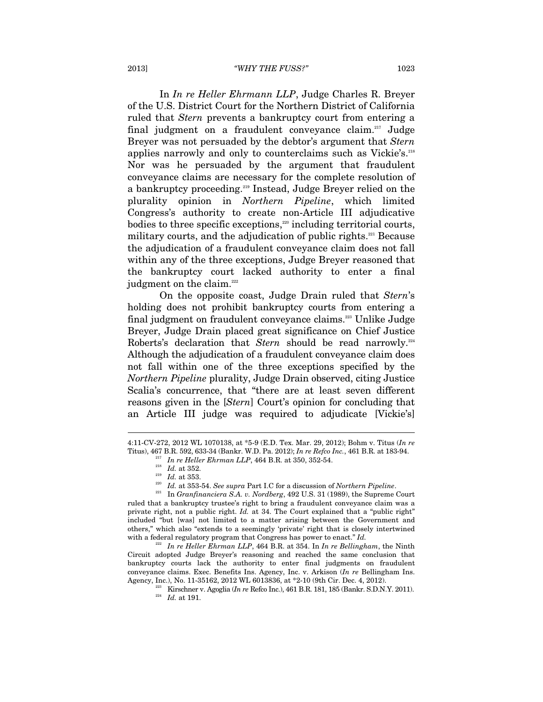In *In re Heller Ehrmann LLP*, Judge Charles R. Breyer of the U.S. District Court for the Northern District of California ruled that *Stern* prevents a bankruptcy court from entering a final judgment on a fraudulent conveyance claim.217 Judge Breyer was not persuaded by the debtor's argument that *Stern*  applies narrowly and only to counterclaims such as Vickie's.<sup>218</sup> Nor was he persuaded by the argument that fraudulent conveyance claims are necessary for the complete resolution of a bankruptcy proceeding.<sup>219</sup> Instead, Judge Breyer relied on the plurality opinion in *Northern Pipeline*, which limited Congress's authority to create non-Article III adjudicative bodies to three specific exceptions,<sup>220</sup> including territorial courts, military courts, and the adjudication of public rights.<sup>221</sup> Because the adjudication of a fraudulent conveyance claim does not fall within any of the three exceptions, Judge Breyer reasoned that the bankruptcy court lacked authority to enter a final judgment on the claim.<sup>222</sup>

On the opposite coast, Judge Drain ruled that *Stern*'s holding does not prohibit bankruptcy courts from entering a final judgment on fraudulent conveyance claims.<sup>223</sup> Unlike Judge Breyer, Judge Drain placed great significance on Chief Justice Roberts's declaration that *Stern* should be read narrowly.<sup>224</sup> Although the adjudication of a fraudulent conveyance claim does not fall within one of the three exceptions specified by the *Northern Pipeline* plurality, Judge Drain observed, citing Justice Scalia's concurrence, that "there are at least seven different reasons given in the [*Stern*] Court's opinion for concluding that an Article III judge was required to adjudicate [Vickie's]

 $\overline{a}$ 

Circuit adopted Judge Breyer's reasoning and reached the same conclusion that bankruptcy courts lack the authority to enter final judgments on fraudulent conveyance claims. Exec. Benefits Ins. Agency, Inc. v. Arkison (*In re* Bellingham Ins. Agency, Inc.), No. 11-35162, 2012 WL 6013836, at \*2-10 (9th Cir. Dec. 4, 2012).

<sup>4:11-</sup>CV-272, 2012 WL 1070138, at \*5-9 (E.D. Tex. Mar. 29, 2012); Bohm v. Titus (*In re* Titus), 467 B.R. 592, 633-34 (Bankr. W.D. Pa. 2012); *In re Refco Inc.*, 461 B.R. at 183-94.<br> *In re Heller Ehrman LLP*, 464 B.R. at 350, 352-54.<br>
<sup>218</sup> *Id.* at 352.<br> *Id.* at 353.<br> *Id.* at 353-54. *See supra* Part I.C

ruled that a bankruptcy trustee's right to bring a fraudulent conveyance claim was a private right, not a public right. *Id.* at 34. The Court explained that a "public right" included "but [was] not limited to a matter arising between the Government and others," which also "extends to a seemingly 'private' right that is closely intertwined with a federal regulatory program that Congress has power to enact." *Id.* 222 *In re Heller Ehrman LLP*, 464 B.R. at 354. In *In re Bellingham*, the Ninth

<sup>&</sup>lt;sup>223</sup> Kirschner v. Agoglia $(\ln r$  Refco Inc.), 461 B.R. 181, 185 (Bankr. S.D.N.Y. 2011). *Id.* at 191.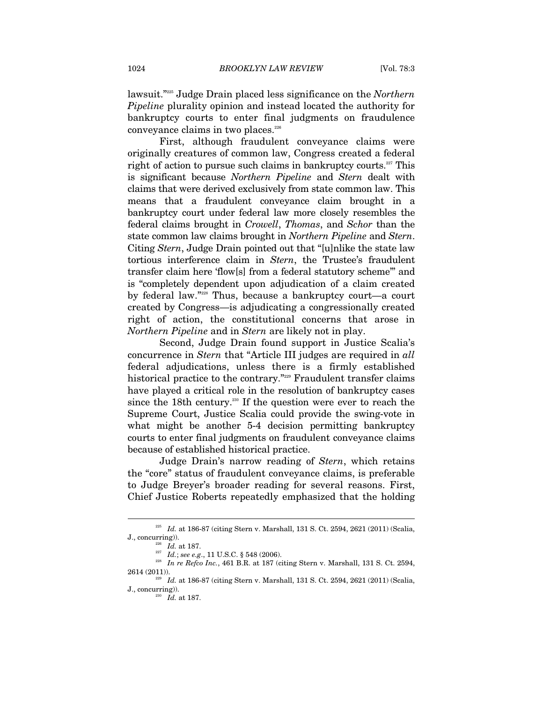lawsuit."225 Judge Drain placed less significance on the *Northern Pipeline* plurality opinion and instead located the authority for bankruptcy courts to enter final judgments on fraudulence conveyance claims in two places.<sup>226</sup>

First, although fraudulent conveyance claims were originally creatures of common law, Congress created a federal right of action to pursue such claims in bankruptcy courts.<sup>227</sup> This is significant because *Northern Pipeline* and *Stern* dealt with claims that were derived exclusively from state common law. This means that a fraudulent conveyance claim brought in a bankruptcy court under federal law more closely resembles the federal claims brought in *Crowell*, *Thomas*, and *Schor* than the state common law claims brought in *Northern Pipeline* and *Stern*. Citing *Stern*, Judge Drain pointed out that "[u]nlike the state law tortious interference claim in *Stern*, the Trustee's fraudulent transfer claim here 'flow[s] from a federal statutory scheme'" and is "completely dependent upon adjudication of a claim created by federal law."228 Thus, because a bankruptcy court—a court created by Congress—is adjudicating a congressionally created right of action, the constitutional concerns that arose in *Northern Pipeline* and in *Stern* are likely not in play.

Second, Judge Drain found support in Justice Scalia's concurrence in *Stern* that "Article III judges are required in *all*  federal adjudications, unless there is a firmly established historical practice to the contrary."229 Fraudulent transfer claims have played a critical role in the resolution of bankruptcy cases since the 18th century.<sup>230</sup> If the question were ever to reach the Supreme Court, Justice Scalia could provide the swing-vote in what might be another 5-4 decision permitting bankruptcy courts to enter final judgments on fraudulent conveyance claims because of established historical practice.

Judge Drain's narrow reading of *Stern*, which retains the "core" status of fraudulent conveyance claims, is preferable to Judge Breyer's broader reading for several reasons. First, Chief Justice Roberts repeatedly emphasized that the holding

<sup>225</sup> *Id.* at 186-87 (citing Stern v. Marshall, 131 S. Ct. 2594, 2621 (2011) (Scalia, J., concurring)). 226 *Id.* at 187. 227 *Id.*; *see e.g*., 11 U.S.C. § 548 (2006). 228 *In re Refco Inc.*, 461 B.R. at 187 (citing Stern v. Marshall, 131 S. Ct. 2594,

<sup>2614 (2011)). 229</sup> *Id.* at 186-87 (citing Stern v. Marshall, 131 S. Ct. 2594, 2621 (2011) (Scalia,

J., concurring)). 230 *Id.* at 187.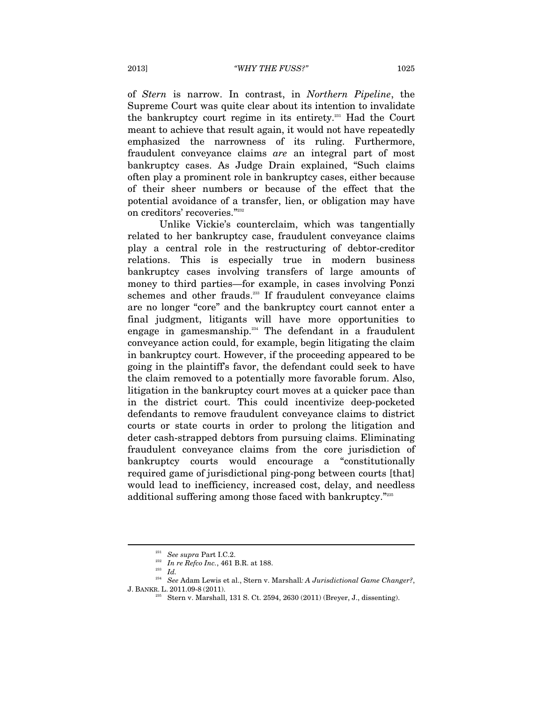of *Stern* is narrow. In contrast, in *Northern Pipeline*, the Supreme Court was quite clear about its intention to invalidate the bankruptcy court regime in its entirety.231 Had the Court meant to achieve that result again, it would not have repeatedly emphasized the narrowness of its ruling. Furthermore, fraudulent conveyance claims *are* an integral part of most bankruptcy cases. As Judge Drain explained, "Such claims often play a prominent role in bankruptcy cases, either because of their sheer numbers or because of the effect that the potential avoidance of a transfer, lien, or obligation may have on creditors' recoveries."232

Unlike Vickie's counterclaim, which was tangentially related to her bankruptcy case, fraudulent conveyance claims play a central role in the restructuring of debtor-creditor relations. This is especially true in modern business bankruptcy cases involving transfers of large amounts of money to third parties—for example, in cases involving Ponzi schemes and other frauds.<sup>233</sup> If fraudulent conveyance claims are no longer "core" and the bankruptcy court cannot enter a final judgment, litigants will have more opportunities to engage in gamesmanship. $234$  The defendant in a fraudulent conveyance action could, for example, begin litigating the claim in bankruptcy court. However, if the proceeding appeared to be going in the plaintiff's favor, the defendant could seek to have the claim removed to a potentially more favorable forum. Also, litigation in the bankruptcy court moves at a quicker pace than in the district court. This could incentivize deep-pocketed defendants to remove fraudulent conveyance claims to district courts or state courts in order to prolong the litigation and deter cash-strapped debtors from pursuing claims. Eliminating fraudulent conveyance claims from the core jurisdiction of bankruptcy courts would encourage a "constitutionally required game of jurisdictional ping-pong between courts [that] would lead to inefficiency, increased cost, delay, and needless additional suffering among those faced with bankruptcy."235

<sup>231</sup> *See supra* Part I.C.2.

<sup>232</sup> *In re Refco Inc.*, 461 B.R. at 188. 233 *Id.* 

<sup>234</sup> *See* Adam Lewis et al., Stern v. Marshall*: A Jurisdictional Game Changer?*, J. BANKR. L. 2011.09-8 (2011).

 $235$  Stern v. Marshall, 131 S. Ct. 2594, 2630 (2011) (Breyer, J., dissenting).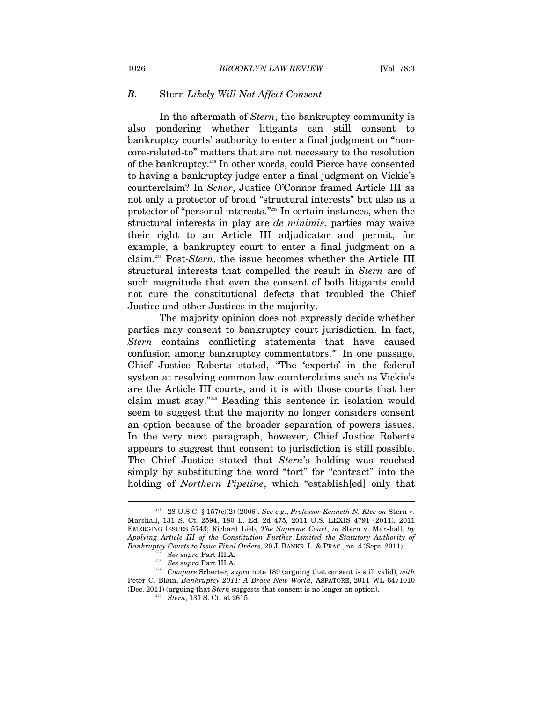## *B.* Stern *Likely Will Not Affect Consent*

In the aftermath of *Stern*, the bankruptcy community is also pondering whether litigants can still consent to bankruptcy courts' authority to enter a final judgment on "noncore-related-to" matters that are not necessary to the resolution of the bankruptcy.236 In other words, could Pierce have consented to having a bankruptcy judge enter a final judgment on Vickie's counterclaim? In *Schor*, Justice O'Connor framed Article III as not only a protector of broad "structural interests" but also as a protector of "personal interests."237 In certain instances, when the structural interests in play are *de minimis*, parties may waive their right to an Article III adjudicator and permit, for example, a bankruptcy court to enter a final judgment on a claim.238 Post-*Stern*, the issue becomes whether the Article III structural interests that compelled the result in *Stern* are of such magnitude that even the consent of both litigants could not cure the constitutional defects that troubled the Chief Justice and other Justices in the majority.

The majority opinion does not expressly decide whether parties may consent to bankruptcy court jurisdiction. In fact, *Stern* contains conflicting statements that have caused confusion among bankruptcy commentators.<sup>239</sup> In one passage, Chief Justice Roberts stated, "The 'experts' in the federal system at resolving common law counterclaims such as Vickie's are the Article III courts, and it is with those courts that her claim must stay."240 Reading this sentence in isolation would seem to suggest that the majority no longer considers consent an option because of the broader separation of powers issues. In the very next paragraph, however, Chief Justice Roberts appears to suggest that consent to jurisdiction is still possible. The Chief Justice stated that *Stern*'s holding was reached simply by substituting the word "tort" for "contract" into the holding of *Northern Pipeline*, which "establish[ed] only that

<sup>236 28</sup> U.S.C. § 157(c)(2) (2006). *See e.g*., *Professor Kenneth N. Klee on* Stern v. Marshall, 131 S. Ct. 2594, 180 L. Ed. 2d 475, 2011 U.S. LEXIS 4791 (2011), 2011 EMERGING ISSUES 5743; Richard Lieb, *The Supreme Court*, *in* Stern v. Marshall*, by Applying Article III of the Constitution Further Limited the Statutory Authority of Bankruptcy Courts to Issue Final Orders*, 20 J. BANKR. L. & PRAC., no. 4 (Sept. 2011).<br><sup>237</sup> See supra Part III.A.<br><sup>238</sup> See supra Part III.A.

<sup>&</sup>lt;sup>239</sup> Compare Schecter, *supra* note 189 (arguing that consent is still valid), *with* Peter C. Blain, *Bankruptcy 2011: A Brave New World*, ASPATORE, 2011 WL 6471010 (Dec. 2011) (arguing that *Stern* suggests that consent is no longer an option). 240 *Stern*, 131 S. Ct. at 2615.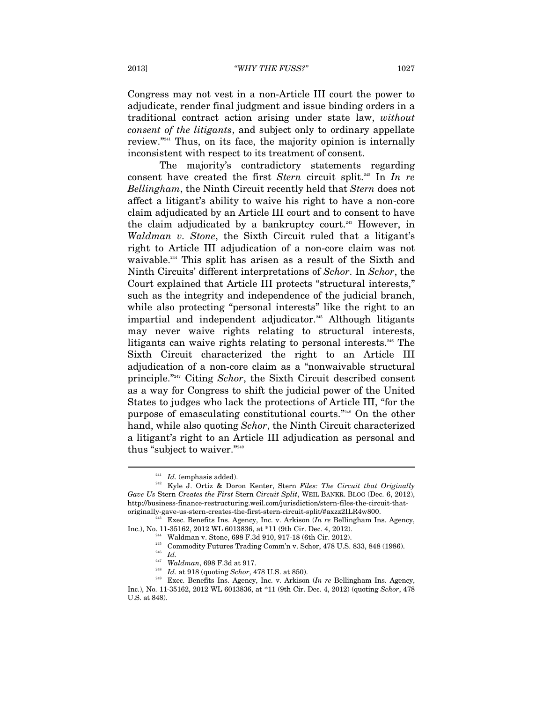Congress may not vest in a non-Article III court the power to adjudicate, render final judgment and issue binding orders in a traditional contract action arising under state law, *without consent of the litigants*, and subject only to ordinary appellate review."241 Thus, on its face, the majority opinion is internally inconsistent with respect to its treatment of consent.

The majority's contradictory statements regarding consent have created the first *Stern* circuit split.<sup>242</sup> In *In re Bellingham*, the Ninth Circuit recently held that *Stern* does not affect a litigant's ability to waive his right to have a non-core claim adjudicated by an Article III court and to consent to have the claim adjudicated by a bankruptcy court.<sup>243</sup> However, in *Waldman v. Stone*, the Sixth Circuit ruled that a litigant's right to Article III adjudication of a non-core claim was not waivable.<sup>244</sup> This split has arisen as a result of the Sixth and Ninth Circuits' different interpretations of *Schor*. In *Schor*, the Court explained that Article III protects "structural interests," such as the integrity and independence of the judicial branch, while also protecting "personal interests" like the right to an impartial and independent adjudicator.<sup>245</sup> Although litigants may never waive rights relating to structural interests, litigants can waive rights relating to personal interests.<sup>246</sup> The Sixth Circuit characterized the right to an Article III adjudication of a non-core claim as a "nonwaivable structural principle."247 Citing *Schor*, the Sixth Circuit described consent as a way for Congress to shift the judicial power of the United States to judges who lack the protections of Article III, "for the purpose of emasculating constitutional courts."248 On the other hand, while also quoting *Schor*, the Ninth Circuit characterized a litigant's right to an Article III adjudication as personal and thus "subject to waiver."<sup>249</sup>

<sup>&</sup>lt;sup>241</sup> *Id.* (emphasis added). 242 Kyle J. Ortiz & Doron Kenter, Stern *Files: The Circuit that Originally Gave Us* Stern *Creates the First* Stern *Circuit Split*, WEIL BANKR. BLOG (Dec. 6, 2012), http://business-finance-restructuring.weil.com/jurisdiction/stern-files-the-circuit-that-

<sup>&</sup>lt;sup>243</sup> Exec. Benefits Ins. Agency, Inc. v. Arkison (*In re* Bellingham Ins. Agency, Inc.), No. 11-35162, 2012 WL 6013836, at \*11 (9th Cir. Dec. 4, 2012).<br>
<sup>244</sup> Waldman v. Stone, 698 F.3d 910, 917-18 (6th Cir. 2012).<br>
<sup>245</sup> Commodity Futures Trading Comm'n v. Schor, 478 U.S. 833, 848 (1986).<br>
<sup>246</sup> *Id.* 

Inc.), No. 11-35162, 2012 WL 6013836, at \*11 (9th Cir. Dec. 4, 2012) (quoting *Schor*, 478 U.S. at 848).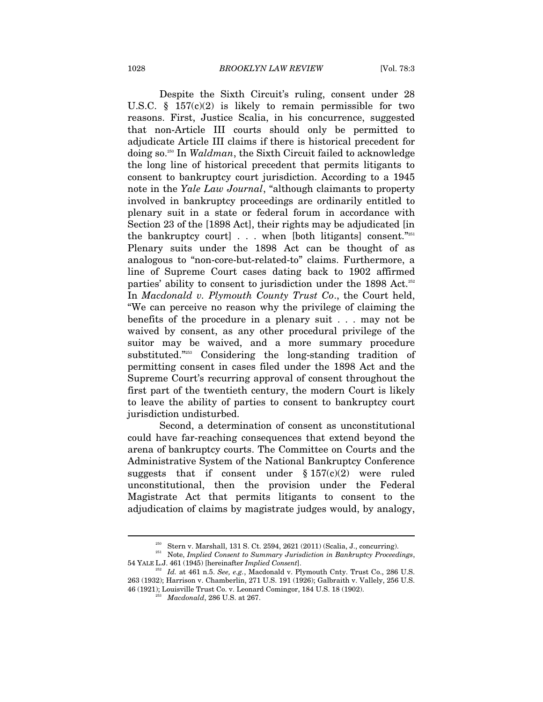Despite the Sixth Circuit's ruling, consent under 28 U.S.C.  $\S$  157(c)(2) is likely to remain permissible for two reasons. First, Justice Scalia, in his concurrence, suggested that non-Article III courts should only be permitted to adjudicate Article III claims if there is historical precedent for doing so.250 In *Waldman*, the Sixth Circuit failed to acknowledge the long line of historical precedent that permits litigants to consent to bankruptcy court jurisdiction. According to a 1945 note in the *Yale Law Journal*, "although claimants to property involved in bankruptcy proceedings are ordinarily entitled to plenary suit in a state or federal forum in accordance with Section 23 of the [1898 Act], their rights may be adjudicated [in the bankruptcy court]  $\ldots$  when [both litigants] consent." Plenary suits under the 1898 Act can be thought of as analogous to "non-core-but-related-to" claims. Furthermore, a line of Supreme Court cases dating back to 1902 affirmed parties' ability to consent to jurisdiction under the 1898 Act.<sup>252</sup> In *Macdonald v. Plymouth County Trust Co*., the Court held, "We can perceive no reason why the privilege of claiming the benefits of the procedure in a plenary suit . . . may not be waived by consent, as any other procedural privilege of the suitor may be waived, and a more summary procedure substituted."253 Considering the long-standing tradition of permitting consent in cases filed under the 1898 Act and the Supreme Court's recurring approval of consent throughout the first part of the twentieth century, the modern Court is likely to leave the ability of parties to consent to bankruptcy court jurisdiction undisturbed.

Second, a determination of consent as unconstitutional could have far-reaching consequences that extend beyond the arena of bankruptcy courts. The Committee on Courts and the Administrative System of the National Bankruptcy Conference suggests that if consent under  $\S 157(c)(2)$  were ruled unconstitutional, then the provision under the Federal Magistrate Act that permits litigants to consent to the adjudication of claims by magistrate judges would, by analogy,

<sup>250</sup> Stern v. Marshall, 131 S. Ct. 2594, 2621 (2011) (Scalia, J., concurring). 251 Note, *Implied Consent to Summary Jurisdiction in Bankruptcy Proceedings*, 54 YALE L.J. 461 (1945) [hereinafter *Implied Consent*]. 252 *Id.* at 461 n.5. *See, e.g.*, Macdonald v. Plymouth Cnty. Trust Co., 286 U.S.

<sup>263 (1932);</sup> Harrison v. Chamberlin, 271 U.S. 191 (1926); Galbraith v. Vallely, 256 U.S. 46 (1921); Louisville Trust Co. v. Leonard Comingor, 184 U.S. 18 (1902). 253 *Macdonald*, 286 U.S. at 267.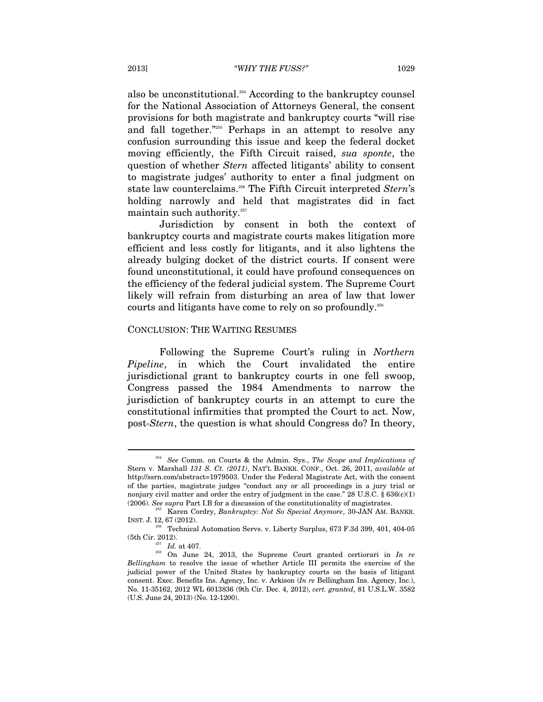also be unconstitutional.<sup>254</sup> According to the bankruptcy counsel for the National Association of Attorneys General, the consent provisions for both magistrate and bankruptcy courts "will rise and fall together."255 Perhaps in an attempt to resolve any confusion surrounding this issue and keep the federal docket moving efficiently, the Fifth Circuit raised, *sua sponte*, the question of whether *Stern* affected litigants' ability to consent to magistrate judges' authority to enter a final judgment on state law counterclaims.256 The Fifth Circuit interpreted *Stern*'s holding narrowly and held that magistrates did in fact maintain such authority. $257$ 

Jurisdiction by consent in both the context of bankruptcy courts and magistrate courts makes litigation more efficient and less costly for litigants, and it also lightens the already bulging docket of the district courts. If consent were found unconstitutional, it could have profound consequences on the efficiency of the federal judicial system. The Supreme Court likely will refrain from disturbing an area of law that lower courts and litigants have come to rely on so profoundly.<sup>258</sup>

#### CONCLUSION: THE WAITING RESUMES

Following the Supreme Court's ruling in *Northern Pipeline*, in which the Court invalidated the entire jurisdictional grant to bankruptcy courts in one fell swoop, Congress passed the 1984 Amendments to narrow the jurisdiction of bankruptcy courts in an attempt to cure the constitutional infirmities that prompted the Court to act. Now, post*-Stern*, the question is what should Congress do? In theory,

<sup>254</sup> *See* Comm. on Courts & the Admin. Sys., *The Scope and Implications of*  Stern v. Marshall *131 S. Ct. (2011)*, NAT'L BANKR. CONF., Oct. 26, 2011, *available at*  http://ssrn.com/abstract=1979503. Under the Federal Magistrate Act, with the consent of the parties, magistrate judges "conduct any or all proceedings in a jury trial or nonjury civil matter and order the entry of judgment in the case." 28 U.S.C.  $\S 636(c)(1)$ 

<sup>(2006).</sup> *See supra* Part I.B for a discussion of the constitutionality of magistrates. 255 Karen Cordry, *Bankruptcy: Not So Special Anymore*, 30-JAN AM. BANKR. INST. J. 12, 67 (2012).

<sup>256</sup> Technical Automation Servs. v. Liberty Surplus, 673 F.3d 399, 401, 404-05

<sup>(5</sup>th Cir. 2012).<br><sup>257</sup> *Id.* at 407.<br><sup>258</sup> On June 24, 2013, the Supreme Court granted certiorari in *In re Bellingham* to resolve the issue of whether Article III permits the exercise of the judicial power of the United States by bankruptcy courts on the basis of litigant consent. Exec. Benefits Ins. Agency, Inc. v. Arkison (*In re* Bellingham Ins. Agency, Inc.), No. 11-35162, 2012 WL 6013836 (9th Cir. Dec. 4, 2012), *cert. granted*, 81 U.S.L.W. 3582 (U.S. June 24, 2013) (No. 12-1200).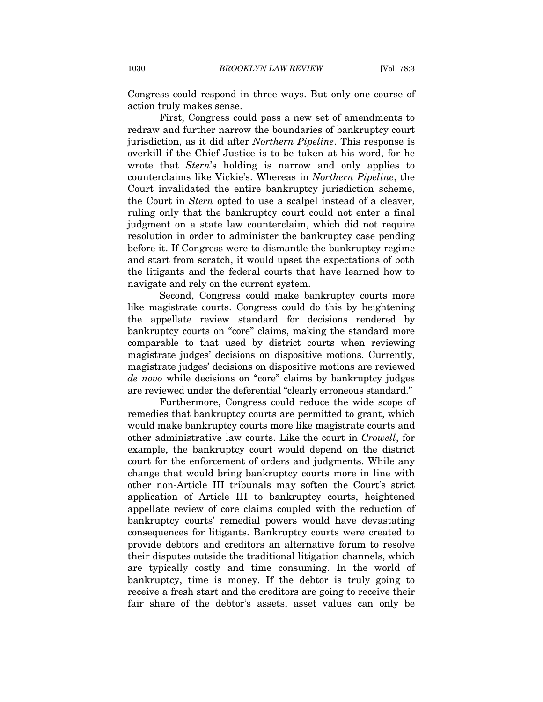Congress could respond in three ways. But only one course of action truly makes sense.

First, Congress could pass a new set of amendments to redraw and further narrow the boundaries of bankruptcy court jurisdiction, as it did after *Northern Pipeline*. This response is overkill if the Chief Justice is to be taken at his word, for he wrote that *Stern*'s holding is narrow and only applies to counterclaims like Vickie's. Whereas in *Northern Pipeline*, the Court invalidated the entire bankruptcy jurisdiction scheme, the Court in *Stern* opted to use a scalpel instead of a cleaver, ruling only that the bankruptcy court could not enter a final judgment on a state law counterclaim, which did not require resolution in order to administer the bankruptcy case pending before it. If Congress were to dismantle the bankruptcy regime and start from scratch, it would upset the expectations of both the litigants and the federal courts that have learned how to navigate and rely on the current system.

Second, Congress could make bankruptcy courts more like magistrate courts. Congress could do this by heightening the appellate review standard for decisions rendered by bankruptcy courts on "core" claims, making the standard more comparable to that used by district courts when reviewing magistrate judges' decisions on dispositive motions. Currently, magistrate judges' decisions on dispositive motions are reviewed *de novo* while decisions on "core" claims by bankruptcy judges are reviewed under the deferential "clearly erroneous standard."

Furthermore, Congress could reduce the wide scope of remedies that bankruptcy courts are permitted to grant, which would make bankruptcy courts more like magistrate courts and other administrative law courts. Like the court in *Crowell*, for example, the bankruptcy court would depend on the district court for the enforcement of orders and judgments. While any change that would bring bankruptcy courts more in line with other non-Article III tribunals may soften the Court's strict application of Article III to bankruptcy courts, heightened appellate review of core claims coupled with the reduction of bankruptcy courts' remedial powers would have devastating consequences for litigants. Bankruptcy courts were created to provide debtors and creditors an alternative forum to resolve their disputes outside the traditional litigation channels, which are typically costly and time consuming. In the world of bankruptcy, time is money. If the debtor is truly going to receive a fresh start and the creditors are going to receive their fair share of the debtor's assets, asset values can only be